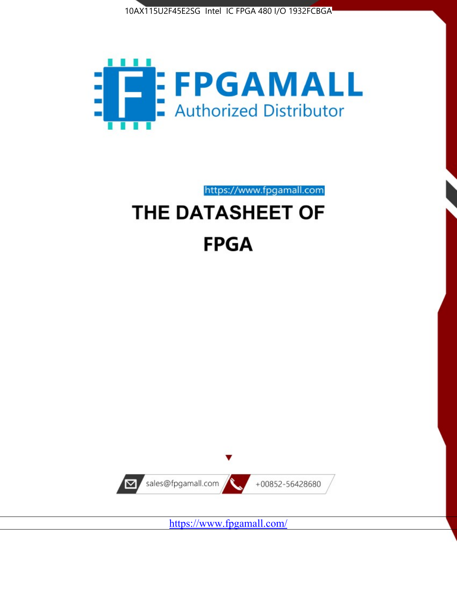



https://www.fpgamall.com

# THE DATASHEET OF **FPGA**



<https://www.fpgamall.com/>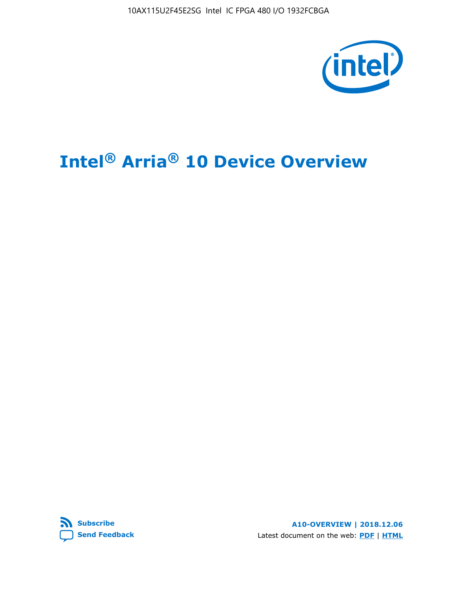10AX115U2F45E2SG Intel IC FPGA 480 I/O 1932FCBGA



# **Intel® Arria® 10 Device Overview**



**A10-OVERVIEW | 2018.12.06** Latest document on the web: **[PDF](https://www.intel.com/content/dam/www/programmable/us/en/pdfs/literature/hb/arria-10/a10_overview.pdf)** | **[HTML](https://www.intel.com/content/www/us/en/programmable/documentation/sam1403480274650.html)**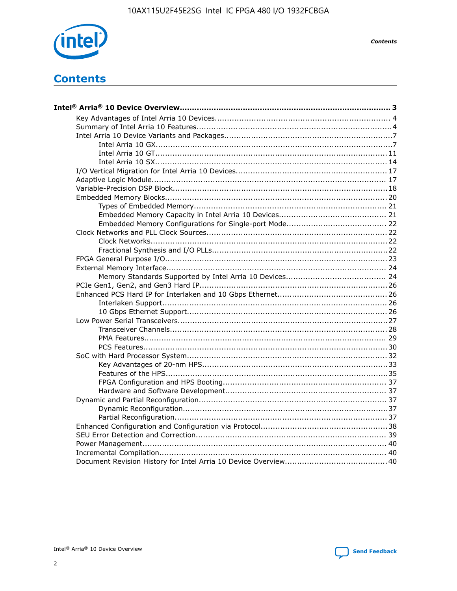

**Contents** 

# **Contents**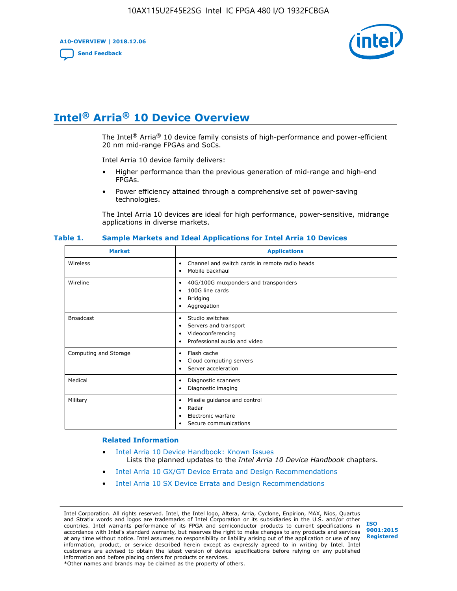**A10-OVERVIEW | 2018.12.06**

**[Send Feedback](mailto:FPGAtechdocfeedback@intel.com?subject=Feedback%20on%20Intel%20Arria%2010%20Device%20Overview%20(A10-OVERVIEW%202018.12.06)&body=We%20appreciate%20your%20feedback.%20In%20your%20comments,%20also%20specify%20the%20page%20number%20or%20paragraph.%20Thank%20you.)**



# **Intel® Arria® 10 Device Overview**

The Intel<sup>®</sup> Arria<sup>®</sup> 10 device family consists of high-performance and power-efficient 20 nm mid-range FPGAs and SoCs.

Intel Arria 10 device family delivers:

- Higher performance than the previous generation of mid-range and high-end FPGAs.
- Power efficiency attained through a comprehensive set of power-saving technologies.

The Intel Arria 10 devices are ideal for high performance, power-sensitive, midrange applications in diverse markets.

| <b>Market</b>         | <b>Applications</b>                                                                                               |
|-----------------------|-------------------------------------------------------------------------------------------------------------------|
| Wireless              | Channel and switch cards in remote radio heads<br>٠<br>Mobile backhaul<br>٠                                       |
| Wireline              | 40G/100G muxponders and transponders<br>٠<br>100G line cards<br>٠<br><b>Bridging</b><br>٠<br>Aggregation<br>٠     |
| <b>Broadcast</b>      | Studio switches<br>٠<br>Servers and transport<br>٠<br>Videoconferencing<br>٠<br>Professional audio and video<br>٠ |
| Computing and Storage | Flash cache<br>٠<br>Cloud computing servers<br>٠<br>Server acceleration<br>٠                                      |
| Medical               | Diagnostic scanners<br>٠<br>Diagnostic imaging<br>٠                                                               |
| Military              | Missile guidance and control<br>٠<br>Radar<br>٠<br>Electronic warfare<br>٠<br>Secure communications<br>٠          |

#### **Table 1. Sample Markets and Ideal Applications for Intel Arria 10 Devices**

#### **Related Information**

- [Intel Arria 10 Device Handbook: Known Issues](http://www.altera.com/support/kdb/solutions/rd07302013_646.html) Lists the planned updates to the *Intel Arria 10 Device Handbook* chapters.
- [Intel Arria 10 GX/GT Device Errata and Design Recommendations](https://www.intel.com/content/www/us/en/programmable/documentation/agz1493851706374.html#yqz1494433888646)
- [Intel Arria 10 SX Device Errata and Design Recommendations](https://www.intel.com/content/www/us/en/programmable/documentation/cru1462832385668.html#cru1462832558642)

Intel Corporation. All rights reserved. Intel, the Intel logo, Altera, Arria, Cyclone, Enpirion, MAX, Nios, Quartus and Stratix words and logos are trademarks of Intel Corporation or its subsidiaries in the U.S. and/or other countries. Intel warrants performance of its FPGA and semiconductor products to current specifications in accordance with Intel's standard warranty, but reserves the right to make changes to any products and services at any time without notice. Intel assumes no responsibility or liability arising out of the application or use of any information, product, or service described herein except as expressly agreed to in writing by Intel. Intel customers are advised to obtain the latest version of device specifications before relying on any published information and before placing orders for products or services. \*Other names and brands may be claimed as the property of others.

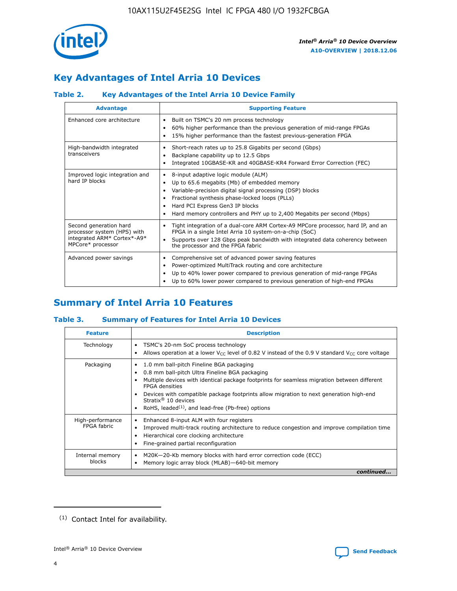

# **Key Advantages of Intel Arria 10 Devices**

## **Table 2. Key Advantages of the Intel Arria 10 Device Family**

| <b>Advantage</b>                                                                                          | <b>Supporting Feature</b>                                                                                                                                                                                                                                                                                                |  |  |  |  |  |
|-----------------------------------------------------------------------------------------------------------|--------------------------------------------------------------------------------------------------------------------------------------------------------------------------------------------------------------------------------------------------------------------------------------------------------------------------|--|--|--|--|--|
| Enhanced core architecture                                                                                | Built on TSMC's 20 nm process technology<br>٠<br>60% higher performance than the previous generation of mid-range FPGAs<br>٠<br>15% higher performance than the fastest previous-generation FPGA<br>٠                                                                                                                    |  |  |  |  |  |
| High-bandwidth integrated<br>transceivers                                                                 | Short-reach rates up to 25.8 Gigabits per second (Gbps)<br>٠<br>Backplane capability up to 12.5 Gbps<br>٠<br>Integrated 10GBASE-KR and 40GBASE-KR4 Forward Error Correction (FEC)<br>٠                                                                                                                                   |  |  |  |  |  |
| Improved logic integration and<br>hard IP blocks                                                          | 8-input adaptive logic module (ALM)<br>٠<br>Up to 65.6 megabits (Mb) of embedded memory<br>٠<br>Variable-precision digital signal processing (DSP) blocks<br>Fractional synthesis phase-locked loops (PLLs)<br>Hard PCI Express Gen3 IP blocks<br>Hard memory controllers and PHY up to 2,400 Megabits per second (Mbps) |  |  |  |  |  |
| Second generation hard<br>processor system (HPS) with<br>integrated ARM* Cortex*-A9*<br>MPCore* processor | Tight integration of a dual-core ARM Cortex-A9 MPCore processor, hard IP, and an<br>٠<br>FPGA in a single Intel Arria 10 system-on-a-chip (SoC)<br>Supports over 128 Gbps peak bandwidth with integrated data coherency between<br>$\bullet$<br>the processor and the FPGA fabric                                        |  |  |  |  |  |
| Advanced power savings                                                                                    | Comprehensive set of advanced power saving features<br>٠<br>Power-optimized MultiTrack routing and core architecture<br>٠<br>Up to 40% lower power compared to previous generation of mid-range FPGAs<br>Up to 60% lower power compared to previous generation of high-end FPGAs                                         |  |  |  |  |  |

# **Summary of Intel Arria 10 Features**

## **Table 3. Summary of Features for Intel Arria 10 Devices**

| <b>Feature</b>                  | <b>Description</b>                                                                                                                                                                                                                                                                                                                                                                                           |
|---------------------------------|--------------------------------------------------------------------------------------------------------------------------------------------------------------------------------------------------------------------------------------------------------------------------------------------------------------------------------------------------------------------------------------------------------------|
| Technology                      | TSMC's 20-nm SoC process technology<br>Allows operation at a lower $V_{\text{CC}}$ level of 0.82 V instead of the 0.9 V standard $V_{\text{CC}}$ core voltage                                                                                                                                                                                                                                                |
| Packaging                       | 1.0 mm ball-pitch Fineline BGA packaging<br>٠<br>0.8 mm ball-pitch Ultra Fineline BGA packaging<br>Multiple devices with identical package footprints for seamless migration between different<br><b>FPGA</b> densities<br>Devices with compatible package footprints allow migration to next generation high-end<br>Stratix <sup>®</sup> 10 devices<br>RoHS, leaded $(1)$ , and lead-free (Pb-free) options |
| High-performance<br>FPGA fabric | Enhanced 8-input ALM with four registers<br>Improved multi-track routing architecture to reduce congestion and improve compilation time<br>Hierarchical core clocking architecture<br>Fine-grained partial reconfiguration                                                                                                                                                                                   |
| Internal memory<br>blocks       | M20K-20-Kb memory blocks with hard error correction code (ECC)<br>Memory logic array block (MLAB)-640-bit memory                                                                                                                                                                                                                                                                                             |
|                                 | continued                                                                                                                                                                                                                                                                                                                                                                                                    |



<sup>(1)</sup> Contact Intel for availability.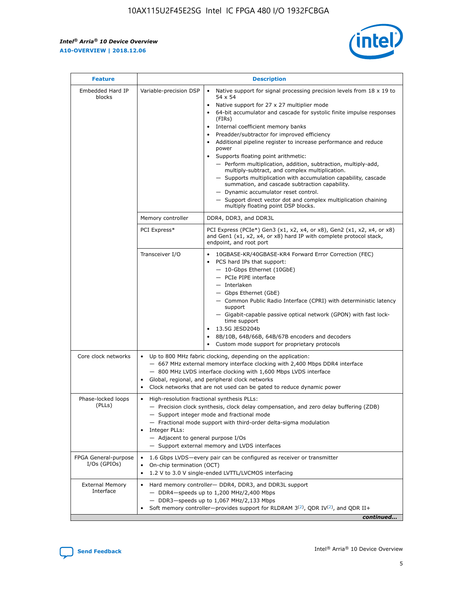r



| <b>Feature</b>                         |                                                                                                                                                                                                                                                                                                                          | <b>Description</b>                                                                                                                                                                                                                                                                                                                                                                                                                                                                                                                                                                                                                                                                                                                                                                                                                     |  |  |  |  |
|----------------------------------------|--------------------------------------------------------------------------------------------------------------------------------------------------------------------------------------------------------------------------------------------------------------------------------------------------------------------------|----------------------------------------------------------------------------------------------------------------------------------------------------------------------------------------------------------------------------------------------------------------------------------------------------------------------------------------------------------------------------------------------------------------------------------------------------------------------------------------------------------------------------------------------------------------------------------------------------------------------------------------------------------------------------------------------------------------------------------------------------------------------------------------------------------------------------------------|--|--|--|--|
| Embedded Hard IP<br>blocks             | Variable-precision DSP                                                                                                                                                                                                                                                                                                   | Native support for signal processing precision levels from $18 \times 19$ to<br>54 x 54<br>Native support for 27 x 27 multiplier mode<br>64-bit accumulator and cascade for systolic finite impulse responses<br>(FIRs)<br>Internal coefficient memory banks<br>$\bullet$<br>Preadder/subtractor for improved efficiency<br>Additional pipeline register to increase performance and reduce<br>power<br>Supports floating point arithmetic:<br>- Perform multiplication, addition, subtraction, multiply-add,<br>multiply-subtract, and complex multiplication.<br>- Supports multiplication with accumulation capability, cascade<br>summation, and cascade subtraction capability.<br>- Dynamic accumulator reset control.<br>- Support direct vector dot and complex multiplication chaining<br>multiply floating point DSP blocks. |  |  |  |  |
|                                        | Memory controller                                                                                                                                                                                                                                                                                                        | DDR4, DDR3, and DDR3L                                                                                                                                                                                                                                                                                                                                                                                                                                                                                                                                                                                                                                                                                                                                                                                                                  |  |  |  |  |
|                                        | PCI Express*                                                                                                                                                                                                                                                                                                             | PCI Express (PCIe*) Gen3 (x1, x2, x4, or x8), Gen2 (x1, x2, x4, or x8)<br>and Gen1 (x1, x2, x4, or x8) hard IP with complete protocol stack,<br>endpoint, and root port                                                                                                                                                                                                                                                                                                                                                                                                                                                                                                                                                                                                                                                                |  |  |  |  |
|                                        | Transceiver I/O                                                                                                                                                                                                                                                                                                          | 10GBASE-KR/40GBASE-KR4 Forward Error Correction (FEC)<br>PCS hard IPs that support:<br>$\bullet$<br>- 10-Gbps Ethernet (10GbE)<br>- PCIe PIPE interface<br>$-$ Interlaken<br>- Gbps Ethernet (GbE)<br>- Common Public Radio Interface (CPRI) with deterministic latency<br>support<br>- Gigabit-capable passive optical network (GPON) with fast lock-<br>time support<br>13.5G JESD204b<br>$\bullet$<br>8B/10B, 64B/66B, 64B/67B encoders and decoders<br>Custom mode support for proprietary protocols                                                                                                                                                                                                                                                                                                                               |  |  |  |  |
| Core clock networks                    | $\bullet$<br>$\bullet$                                                                                                                                                                                                                                                                                                   | Up to 800 MHz fabric clocking, depending on the application:<br>- 667 MHz external memory interface clocking with 2,400 Mbps DDR4 interface<br>- 800 MHz LVDS interface clocking with 1,600 Mbps LVDS interface<br>Global, regional, and peripheral clock networks<br>Clock networks that are not used can be gated to reduce dynamic power                                                                                                                                                                                                                                                                                                                                                                                                                                                                                            |  |  |  |  |
| Phase-locked loops<br>(PLLs)           | High-resolution fractional synthesis PLLs:<br>$\bullet$<br>Integer PLLs:<br>- Adjacent to general purpose I/Os                                                                                                                                                                                                           | - Precision clock synthesis, clock delay compensation, and zero delay buffering (ZDB)<br>- Support integer mode and fractional mode<br>- Fractional mode support with third-order delta-sigma modulation<br>- Support external memory and LVDS interfaces                                                                                                                                                                                                                                                                                                                                                                                                                                                                                                                                                                              |  |  |  |  |
| FPGA General-purpose<br>$I/Os$ (GPIOs) | On-chip termination (OCT)                                                                                                                                                                                                                                                                                                | 1.6 Gbps LVDS-every pair can be configured as receiver or transmitter                                                                                                                                                                                                                                                                                                                                                                                                                                                                                                                                                                                                                                                                                                                                                                  |  |  |  |  |
| <b>External Memory</b><br>Interface    | 1.2 V to 3.0 V single-ended LVTTL/LVCMOS interfacing<br>Hard memory controller- DDR4, DDR3, and DDR3L support<br>$-$ DDR4 $-$ speeds up to 1,200 MHz/2,400 Mbps<br>- DDR3-speeds up to 1,067 MHz/2,133 Mbps<br>Soft memory controller—provides support for RLDRAM $3^{(2)}$ , QDR IV $^{(2)}$ , and QDR II+<br>continued |                                                                                                                                                                                                                                                                                                                                                                                                                                                                                                                                                                                                                                                                                                                                                                                                                                        |  |  |  |  |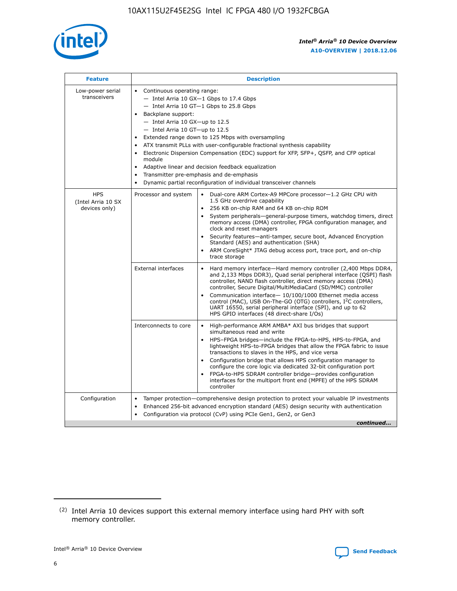

| <b>Feature</b>                                    | <b>Description</b>                                                                                                                                                                                                                                                                                                                                                                                                                                                                                                                                                                                                                         |  |  |  |  |  |  |  |
|---------------------------------------------------|--------------------------------------------------------------------------------------------------------------------------------------------------------------------------------------------------------------------------------------------------------------------------------------------------------------------------------------------------------------------------------------------------------------------------------------------------------------------------------------------------------------------------------------------------------------------------------------------------------------------------------------------|--|--|--|--|--|--|--|
| Low-power serial<br>transceivers                  | • Continuous operating range:<br>- Intel Arria 10 GX-1 Gbps to 17.4 Gbps<br>- Intel Arria 10 GT-1 Gbps to 25.8 Gbps<br>Backplane support:<br>$-$ Intel Arria 10 GX-up to 12.5<br>- Intel Arria 10 GT-up to 12.5<br>Extended range down to 125 Mbps with oversampling<br>ATX transmit PLLs with user-configurable fractional synthesis capability<br>Electronic Dispersion Compensation (EDC) support for XFP, SFP+, QSFP, and CFP optical<br>module<br>• Adaptive linear and decision feedback equalization<br>Transmitter pre-emphasis and de-emphasis<br>$\bullet$<br>Dynamic partial reconfiguration of individual transceiver channels |  |  |  |  |  |  |  |
| <b>HPS</b><br>(Intel Arria 10 SX<br>devices only) | Dual-core ARM Cortex-A9 MPCore processor-1.2 GHz CPU with<br>Processor and system<br>$\bullet$<br>1.5 GHz overdrive capability<br>256 KB on-chip RAM and 64 KB on-chip ROM<br>System peripherals-general-purpose timers, watchdog timers, direct<br>memory access (DMA) controller, FPGA configuration manager, and<br>clock and reset managers<br>Security features-anti-tamper, secure boot, Advanced Encryption<br>$\bullet$<br>Standard (AES) and authentication (SHA)<br>ARM CoreSight* JTAG debug access port, trace port, and on-chip<br>trace storage                                                                              |  |  |  |  |  |  |  |
|                                                   | <b>External interfaces</b><br>Hard memory interface-Hard memory controller (2,400 Mbps DDR4,<br>$\bullet$<br>and 2,133 Mbps DDR3), Quad serial peripheral interface (QSPI) flash<br>controller, NAND flash controller, direct memory access (DMA)<br>controller, Secure Digital/MultiMediaCard (SD/MMC) controller<br>Communication interface-10/100/1000 Ethernet media access<br>$\bullet$<br>control (MAC), USB On-The-GO (OTG) controllers, I <sup>2</sup> C controllers,<br>UART 16550, serial peripheral interface (SPI), and up to 62<br>HPS GPIO interfaces (48 direct-share I/Os)                                                 |  |  |  |  |  |  |  |
|                                                   | High-performance ARM AMBA* AXI bus bridges that support<br>Interconnects to core<br>$\bullet$<br>simultaneous read and write<br>HPS-FPGA bridges-include the FPGA-to-HPS, HPS-to-FPGA, and<br>$\bullet$<br>lightweight HPS-to-FPGA bridges that allow the FPGA fabric to issue<br>transactions to slaves in the HPS, and vice versa<br>Configuration bridge that allows HPS configuration manager to<br>configure the core logic via dedicated 32-bit configuration port<br>FPGA-to-HPS SDRAM controller bridge-provides configuration<br>interfaces for the multiport front end (MPFE) of the HPS SDRAM<br>controller                     |  |  |  |  |  |  |  |
| Configuration                                     | Tamper protection—comprehensive design protection to protect your valuable IP investments<br>Enhanced 256-bit advanced encryption standard (AES) design security with authentication<br>٠<br>Configuration via protocol (CvP) using PCIe Gen1, Gen2, or Gen3<br>continued                                                                                                                                                                                                                                                                                                                                                                  |  |  |  |  |  |  |  |

<sup>(2)</sup> Intel Arria 10 devices support this external memory interface using hard PHY with soft memory controller.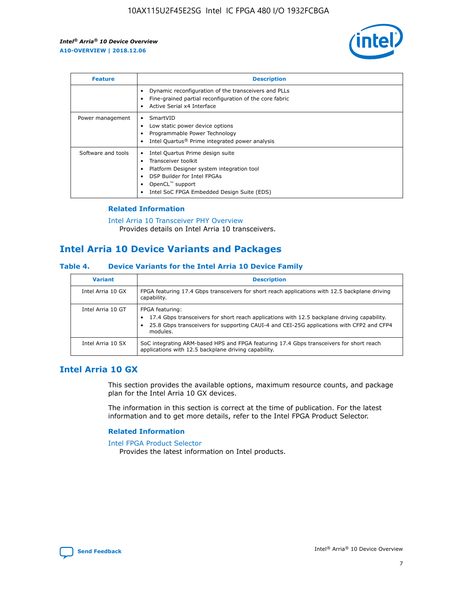

| <b>Feature</b>     | <b>Description</b>                                                                                                                                                                                                            |
|--------------------|-------------------------------------------------------------------------------------------------------------------------------------------------------------------------------------------------------------------------------|
|                    | Dynamic reconfiguration of the transceivers and PLLs<br>Fine-grained partial reconfiguration of the core fabric<br>Active Serial x4 Interface<br>$\bullet$                                                                    |
| Power management   | SmartVID<br>Low static power device options<br>Programmable Power Technology<br>Intel Quartus <sup>®</sup> Prime integrated power analysis                                                                                    |
| Software and tools | Intel Quartus Prime design suite<br>Transceiver toolkit<br>$\bullet$<br>Platform Designer system integration tool<br>DSP Builder for Intel FPGAs<br>OpenCL <sup>™</sup> support<br>Intel SoC FPGA Embedded Design Suite (EDS) |

## **Related Information**

#### [Intel Arria 10 Transceiver PHY Overview](https://www.intel.com/content/www/us/en/programmable/documentation/nik1398707230472.html#nik1398706768037) Provides details on Intel Arria 10 transceivers.

# **Intel Arria 10 Device Variants and Packages**

## **Table 4. Device Variants for the Intel Arria 10 Device Family**

| <b>Variant</b>    | <b>Description</b>                                                                                                                                                                                                     |
|-------------------|------------------------------------------------------------------------------------------------------------------------------------------------------------------------------------------------------------------------|
| Intel Arria 10 GX | FPGA featuring 17.4 Gbps transceivers for short reach applications with 12.5 backplane driving<br>capability.                                                                                                          |
| Intel Arria 10 GT | FPGA featuring:<br>17.4 Gbps transceivers for short reach applications with 12.5 backplane driving capability.<br>25.8 Gbps transceivers for supporting CAUI-4 and CEI-25G applications with CFP2 and CFP4<br>modules. |
| Intel Arria 10 SX | SoC integrating ARM-based HPS and FPGA featuring 17.4 Gbps transceivers for short reach<br>applications with 12.5 backplane driving capability.                                                                        |

## **Intel Arria 10 GX**

This section provides the available options, maximum resource counts, and package plan for the Intel Arria 10 GX devices.

The information in this section is correct at the time of publication. For the latest information and to get more details, refer to the Intel FPGA Product Selector.

## **Related Information**

#### [Intel FPGA Product Selector](http://www.altera.com/products/selector/psg-selector.html) Provides the latest information on Intel products.

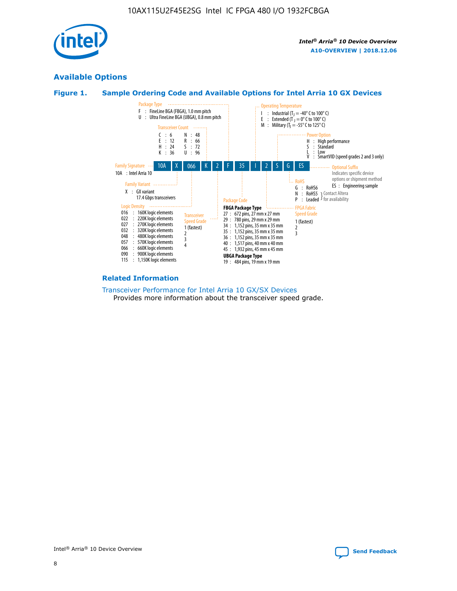

## **Available Options**





#### **Related Information**

[Transceiver Performance for Intel Arria 10 GX/SX Devices](https://www.intel.com/content/www/us/en/programmable/documentation/mcn1413182292568.html#mcn1413213965502) Provides more information about the transceiver speed grade.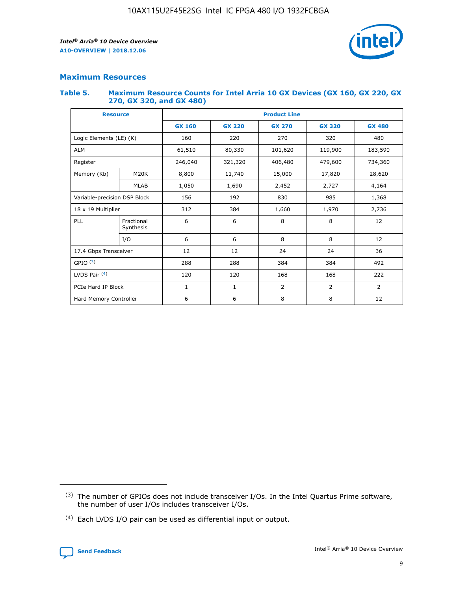

## **Maximum Resources**

#### **Table 5. Maximum Resource Counts for Intel Arria 10 GX Devices (GX 160, GX 220, GX 270, GX 320, and GX 480)**

| <b>Resource</b>              |                         | <b>Product Line</b> |                                |                    |                |                |  |  |  |
|------------------------------|-------------------------|---------------------|--------------------------------|--------------------|----------------|----------------|--|--|--|
|                              |                         | <b>GX 160</b>       | <b>GX 220</b><br><b>GX 270</b> |                    | <b>GX 320</b>  | <b>GX 480</b>  |  |  |  |
| Logic Elements (LE) (K)      |                         | 160                 | 320<br>220<br>270              |                    |                | 480            |  |  |  |
| <b>ALM</b>                   |                         | 61,510              | 80,330                         | 101,620            | 119,900        | 183,590        |  |  |  |
| Register                     |                         | 246,040             | 321,320                        | 479,600<br>406,480 |                | 734,360        |  |  |  |
| Memory (Kb)                  | M <sub>20</sub> K       | 8,800               | 11,740                         | 15,000             | 17,820         | 28,620         |  |  |  |
|                              | <b>MLAB</b>             | 1,050               | 1,690                          | 2,452              | 2,727          | 4,164          |  |  |  |
| Variable-precision DSP Block |                         | 156                 | 192                            | 830                | 985            | 1,368          |  |  |  |
| 18 x 19 Multiplier           |                         | 312                 | 384                            | 1,970<br>1,660     |                | 2,736          |  |  |  |
| PLL                          | Fractional<br>Synthesis | 6                   | 6                              | 8                  | 8              | 12             |  |  |  |
|                              | I/O                     | 6                   | 6                              | 8                  | 8              | 12             |  |  |  |
| 17.4 Gbps Transceiver        |                         | 12                  | 12                             | 24                 | 24             | 36             |  |  |  |
| GPIO <sup>(3)</sup>          |                         | 288                 | 288                            | 384                | 384            |                |  |  |  |
| LVDS Pair $(4)$              |                         | 120                 | 120                            | 168                | 168            | 222            |  |  |  |
| PCIe Hard IP Block           |                         | $\mathbf{1}$        | 1                              | $\overline{2}$     | $\overline{2}$ | $\overline{2}$ |  |  |  |
| Hard Memory Controller       |                         | 6                   | 6                              | 8                  | 8              |                |  |  |  |

<sup>(4)</sup> Each LVDS I/O pair can be used as differential input or output.



<sup>(3)</sup> The number of GPIOs does not include transceiver I/Os. In the Intel Quartus Prime software, the number of user I/Os includes transceiver I/Os.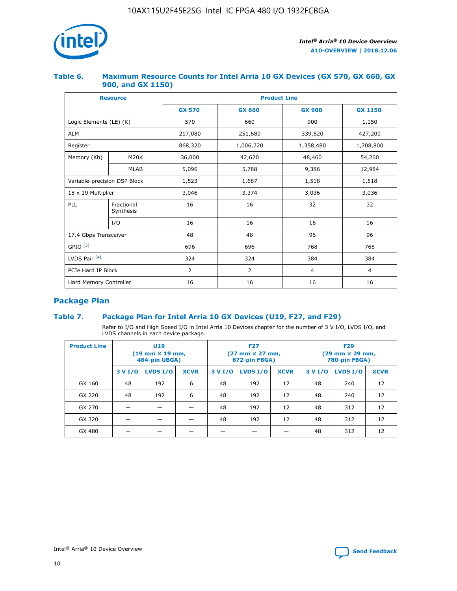

## **Table 6. Maximum Resource Counts for Intel Arria 10 GX Devices (GX 570, GX 660, GX 900, and GX 1150)**

|                              | <b>Resource</b>         | <b>Product Line</b> |                        |                |                |  |  |  |
|------------------------------|-------------------------|---------------------|------------------------|----------------|----------------|--|--|--|
|                              |                         | <b>GX 570</b>       | <b>GX 660</b>          | <b>GX 900</b>  | <b>GX 1150</b> |  |  |  |
| Logic Elements (LE) (K)      |                         | 570                 | 660                    | 900            | 1,150          |  |  |  |
| <b>ALM</b>                   |                         | 217,080             | 251,680                | 339,620        | 427,200        |  |  |  |
| Register                     |                         | 868,320             | 1,006,720<br>1,358,480 |                | 1,708,800      |  |  |  |
| Memory (Kb)                  | <b>M20K</b>             | 36,000              | 42,620                 | 48,460         | 54,260         |  |  |  |
|                              | <b>MLAB</b>             | 5,096               | 5,788                  | 9,386          | 12,984         |  |  |  |
| Variable-precision DSP Block |                         | 1,523               | 1,687                  | 1,518          | 1,518          |  |  |  |
| $18 \times 19$ Multiplier    |                         | 3,046               | 3,374<br>3,036         |                | 3,036          |  |  |  |
| PLL                          | Fractional<br>Synthesis | 16                  | 16                     | 32             | 32             |  |  |  |
|                              | I/O                     | 16                  | 16                     | 16             | 16             |  |  |  |
| 17.4 Gbps Transceiver        |                         | 48                  | 48                     | 96             |                |  |  |  |
| GPIO <sup>(3)</sup>          |                         | 696                 | 696                    | 768            | 768            |  |  |  |
| LVDS Pair $(4)$              |                         | 324                 | 324                    | 384            | 384            |  |  |  |
| PCIe Hard IP Block           |                         | 2                   | $\overline{2}$         | $\overline{4}$ | 4              |  |  |  |
| Hard Memory Controller       |                         | 16                  | 16                     | 16             | 16             |  |  |  |

## **Package Plan**

## **Table 7. Package Plan for Intel Arria 10 GX Devices (U19, F27, and F29)**

Refer to I/O and High Speed I/O in Intel Arria 10 Devices chapter for the number of 3 V I/O, LVDS I/O, and LVDS channels in each device package.

| <b>Product Line</b> | U <sub>19</sub><br>$(19 \text{ mm} \times 19 \text{ mm})$<br>484-pin UBGA) |          |             |         | <b>F27</b><br>(27 mm × 27 mm,<br>672-pin FBGA) |             | <b>F29</b><br>$(29 \text{ mm} \times 29 \text{ mm})$<br>780-pin FBGA) |          |             |  |
|---------------------|----------------------------------------------------------------------------|----------|-------------|---------|------------------------------------------------|-------------|-----------------------------------------------------------------------|----------|-------------|--|
|                     | 3 V I/O                                                                    | LVDS I/O | <b>XCVR</b> | 3 V I/O | <b>LVDS I/O</b>                                | <b>XCVR</b> | 3 V I/O                                                               | LVDS I/O | <b>XCVR</b> |  |
| GX 160              | 48                                                                         | 192      | 6           | 48      | 192                                            | 12          | 48                                                                    | 240      | 12          |  |
| GX 220              | 48                                                                         | 192      | 6           | 48      | 192                                            | 12          | 48                                                                    | 240      | 12          |  |
| GX 270              |                                                                            |          |             | 48      | 192                                            | 12          | 48                                                                    | 312      | 12          |  |
| GX 320              |                                                                            |          |             | 48      | 192                                            | 12          | 48                                                                    | 312      | 12          |  |
| GX 480              |                                                                            |          |             |         |                                                |             | 48                                                                    | 312      | 12          |  |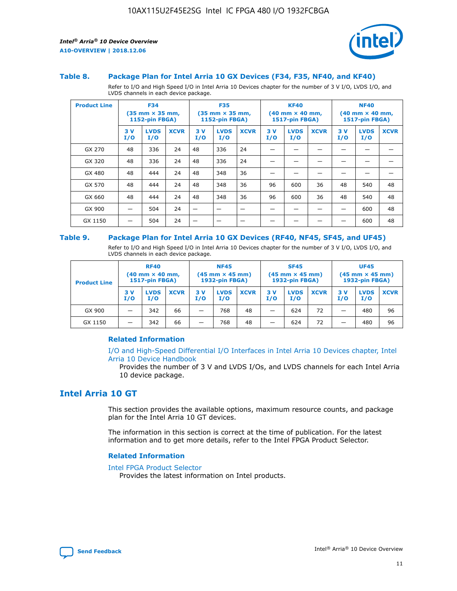

#### **Table 8. Package Plan for Intel Arria 10 GX Devices (F34, F35, NF40, and KF40)**

Refer to I/O and High Speed I/O in Intel Arria 10 Devices chapter for the number of 3 V I/O, LVDS I/O, and LVDS channels in each device package.

| <b>Product Line</b> | <b>F34</b><br>$(35 \text{ mm} \times 35 \text{ mm})$<br><b>1152-pin FBGA)</b> |                    | <b>F35</b><br>$(35 \text{ mm} \times 35 \text{ mm})$<br><b>1152-pin FBGA)</b> |           | <b>KF40</b><br>$(40$ mm $\times$ 40 mm,<br><b>1517-pin FBGA)</b> |             |           | <b>NF40</b><br>$(40 \text{ mm} \times 40 \text{ mm})$<br>1517-pin FBGA) |             |           |                    |             |
|---------------------|-------------------------------------------------------------------------------|--------------------|-------------------------------------------------------------------------------|-----------|------------------------------------------------------------------|-------------|-----------|-------------------------------------------------------------------------|-------------|-----------|--------------------|-------------|
|                     | 3V<br>I/O                                                                     | <b>LVDS</b><br>I/O | <b>XCVR</b>                                                                   | 3V<br>I/O | <b>LVDS</b><br>I/O                                               | <b>XCVR</b> | 3V<br>I/O | <b>LVDS</b><br>I/O                                                      | <b>XCVR</b> | 3V<br>I/O | <b>LVDS</b><br>I/O | <b>XCVR</b> |
| GX 270              | 48                                                                            | 336                | 24                                                                            | 48        | 336                                                              | 24          |           |                                                                         |             |           |                    |             |
| GX 320              | 48                                                                            | 336                | 24                                                                            | 48        | 336                                                              | 24          |           |                                                                         |             |           |                    |             |
| GX 480              | 48                                                                            | 444                | 24                                                                            | 48        | 348                                                              | 36          |           |                                                                         |             |           |                    |             |
| GX 570              | 48                                                                            | 444                | 24                                                                            | 48        | 348                                                              | 36          | 96        | 600                                                                     | 36          | 48        | 540                | 48          |
| GX 660              | 48                                                                            | 444                | 24                                                                            | 48        | 348                                                              | 36          | 96        | 600                                                                     | 36          | 48        | 540                | 48          |
| GX 900              |                                                                               | 504                | 24                                                                            | —         |                                                                  | -           |           |                                                                         |             |           | 600                | 48          |
| GX 1150             |                                                                               | 504                | 24                                                                            |           |                                                                  |             |           |                                                                         |             |           | 600                | 48          |

#### **Table 9. Package Plan for Intel Arria 10 GX Devices (RF40, NF45, SF45, and UF45)**

Refer to I/O and High Speed I/O in Intel Arria 10 Devices chapter for the number of 3 V I/O, LVDS I/O, and LVDS channels in each device package.

| <b>Product Line</b> | <b>RF40</b><br>$(40 \text{ mm} \times 40 \text{ mm})$<br>1517-pin FBGA) |                    |             | <b>NF45</b><br>$(45 \text{ mm} \times 45 \text{ mm})$<br><b>1932-pin FBGA)</b> |                    |             | <b>SF45</b><br>$(45 \text{ mm} \times 45 \text{ mm})$<br><b>1932-pin FBGA)</b> |                    |             | <b>UF45</b><br>$(45 \text{ mm} \times 45 \text{ mm})$<br><b>1932-pin FBGA)</b> |                    |             |
|---------------------|-------------------------------------------------------------------------|--------------------|-------------|--------------------------------------------------------------------------------|--------------------|-------------|--------------------------------------------------------------------------------|--------------------|-------------|--------------------------------------------------------------------------------|--------------------|-------------|
|                     | 3V<br>I/O                                                               | <b>LVDS</b><br>I/O | <b>XCVR</b> | 3V<br>I/O                                                                      | <b>LVDS</b><br>I/O | <b>XCVR</b> | 3V<br>I/O                                                                      | <b>LVDS</b><br>I/O | <b>XCVR</b> | 3V<br>I/O                                                                      | <b>LVDS</b><br>I/O | <b>XCVR</b> |
| GX 900              |                                                                         | 342                | 66          | -                                                                              | 768                | 48          | _                                                                              | 624                | 72          |                                                                                | 480                | 96          |
| GX 1150             |                                                                         | 342                | 66          | -                                                                              | 768                | 48          | -                                                                              | 624                | 72          |                                                                                | 480                | 96          |

## **Related Information**

[I/O and High-Speed Differential I/O Interfaces in Intel Arria 10 Devices chapter, Intel](https://www.intel.com/content/www/us/en/programmable/documentation/sam1403482614086.html#sam1403482030321) [Arria 10 Device Handbook](https://www.intel.com/content/www/us/en/programmable/documentation/sam1403482614086.html#sam1403482030321)

Provides the number of 3 V and LVDS I/Os, and LVDS channels for each Intel Arria 10 device package.

## **Intel Arria 10 GT**

This section provides the available options, maximum resource counts, and package plan for the Intel Arria 10 GT devices.

The information in this section is correct at the time of publication. For the latest information and to get more details, refer to the Intel FPGA Product Selector.

#### **Related Information**

#### [Intel FPGA Product Selector](http://www.altera.com/products/selector/psg-selector.html)

Provides the latest information on Intel products.

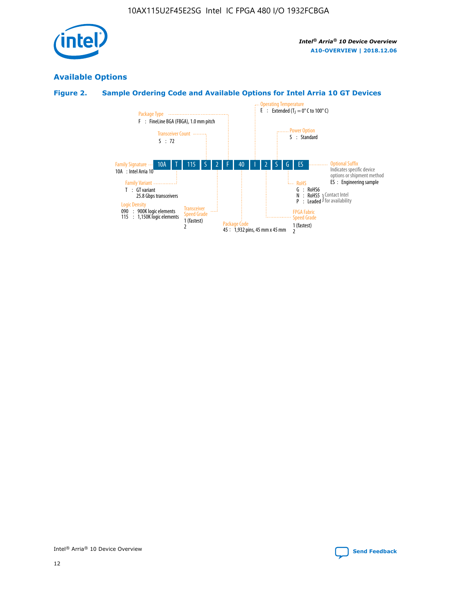

## **Available Options**

## **Figure 2. Sample Ordering Code and Available Options for Intel Arria 10 GT Devices**

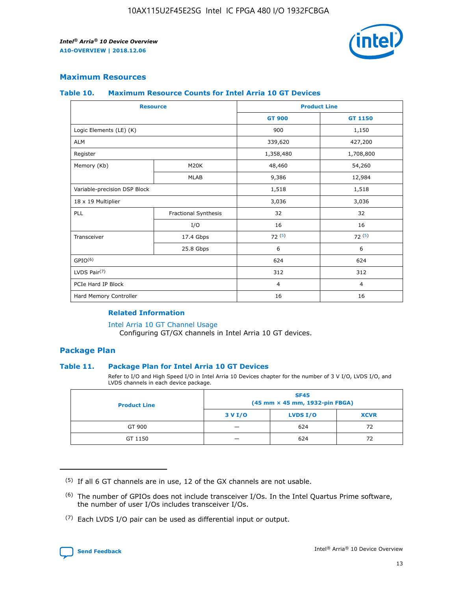

## **Maximum Resources**

#### **Table 10. Maximum Resource Counts for Intel Arria 10 GT Devices**

| <b>Resource</b>              |                      |                | <b>Product Line</b> |  |
|------------------------------|----------------------|----------------|---------------------|--|
|                              |                      | <b>GT 900</b>  | <b>GT 1150</b>      |  |
| Logic Elements (LE) (K)      |                      | 900            | 1,150               |  |
| <b>ALM</b>                   |                      | 339,620        | 427,200             |  |
| Register                     |                      | 1,358,480      | 1,708,800           |  |
| Memory (Kb)                  | M <sub>20</sub> K    | 48,460         | 54,260              |  |
|                              | <b>MLAB</b>          | 9,386          | 12,984              |  |
| Variable-precision DSP Block |                      | 1,518          | 1,518               |  |
| 18 x 19 Multiplier           |                      | 3,036          | 3,036               |  |
| PLL                          | Fractional Synthesis | 32             | 32                  |  |
|                              | I/O                  | 16             | 16                  |  |
| Transceiver                  | 17.4 Gbps            | 72(5)          | 72(5)               |  |
|                              | 25.8 Gbps            | 6              | 6                   |  |
| GPIO <sup>(6)</sup>          |                      | 624            | 624                 |  |
| LVDS Pair $(7)$              |                      | 312            | 312                 |  |
| PCIe Hard IP Block           |                      | $\overline{4}$ | $\overline{4}$      |  |
| Hard Memory Controller       |                      | 16             | 16                  |  |

#### **Related Information**

#### [Intel Arria 10 GT Channel Usage](https://www.intel.com/content/www/us/en/programmable/documentation/nik1398707230472.html#nik1398707008178)

Configuring GT/GX channels in Intel Arria 10 GT devices.

## **Package Plan**

## **Table 11. Package Plan for Intel Arria 10 GT Devices**

Refer to I/O and High Speed I/O in Intel Arria 10 Devices chapter for the number of 3 V I/O, LVDS I/O, and LVDS channels in each device package.

| <b>Product Line</b> | <b>SF45</b><br>(45 mm × 45 mm, 1932-pin FBGA) |                 |             |  |  |  |
|---------------------|-----------------------------------------------|-----------------|-------------|--|--|--|
|                     | 3 V I/O                                       | <b>LVDS I/O</b> | <b>XCVR</b> |  |  |  |
| GT 900              |                                               | 624             | 72          |  |  |  |
| GT 1150             |                                               | 624             |             |  |  |  |

<sup>(7)</sup> Each LVDS I/O pair can be used as differential input or output.



 $(5)$  If all 6 GT channels are in use, 12 of the GX channels are not usable.

<sup>(6)</sup> The number of GPIOs does not include transceiver I/Os. In the Intel Quartus Prime software, the number of user I/Os includes transceiver I/Os.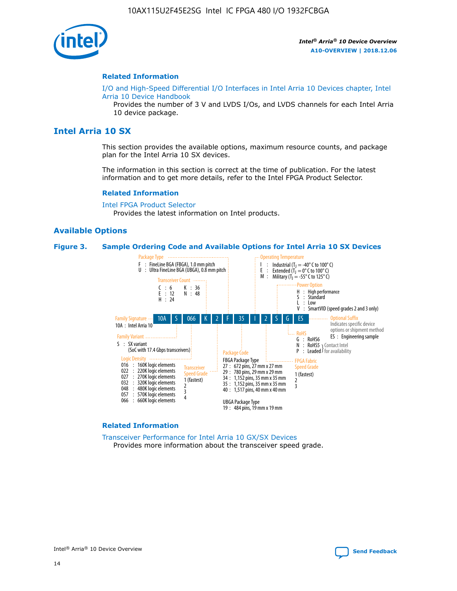

#### **Related Information**

[I/O and High-Speed Differential I/O Interfaces in Intel Arria 10 Devices chapter, Intel](https://www.intel.com/content/www/us/en/programmable/documentation/sam1403482614086.html#sam1403482030321) [Arria 10 Device Handbook](https://www.intel.com/content/www/us/en/programmable/documentation/sam1403482614086.html#sam1403482030321)

Provides the number of 3 V and LVDS I/Os, and LVDS channels for each Intel Arria 10 device package.

## **Intel Arria 10 SX**

This section provides the available options, maximum resource counts, and package plan for the Intel Arria 10 SX devices.

The information in this section is correct at the time of publication. For the latest information and to get more details, refer to the Intel FPGA Product Selector.

#### **Related Information**

[Intel FPGA Product Selector](http://www.altera.com/products/selector/psg-selector.html) Provides the latest information on Intel products.

## **Available Options**

#### **Figure 3. Sample Ordering Code and Available Options for Intel Arria 10 SX Devices**



#### **Related Information**

[Transceiver Performance for Intel Arria 10 GX/SX Devices](https://www.intel.com/content/www/us/en/programmable/documentation/mcn1413182292568.html#mcn1413213965502) Provides more information about the transceiver speed grade.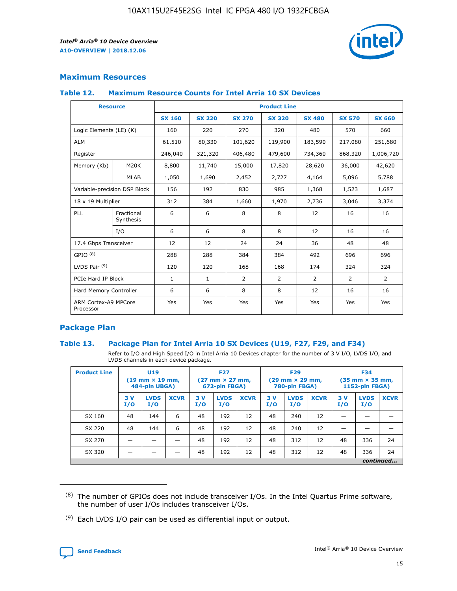

## **Maximum Resources**

## **Table 12. Maximum Resource Counts for Intel Arria 10 SX Devices**

| <b>Resource</b>                   |                         | <b>Product Line</b> |               |                |                |                |                |                |  |  |  |
|-----------------------------------|-------------------------|---------------------|---------------|----------------|----------------|----------------|----------------|----------------|--|--|--|
|                                   |                         | <b>SX 160</b>       | <b>SX 220</b> | <b>SX 270</b>  | <b>SX 320</b>  | <b>SX 480</b>  | <b>SX 570</b>  | <b>SX 660</b>  |  |  |  |
| Logic Elements (LE) (K)           |                         | 160                 | 220           | 270            | 320            | 480            | 570            | 660            |  |  |  |
| <b>ALM</b>                        |                         | 61,510              | 80,330        | 101,620        | 119,900        | 183,590        | 217,080        | 251,680        |  |  |  |
| Register                          |                         | 246,040             | 321,320       | 406,480        | 479,600        | 734,360        | 868,320        | 1,006,720      |  |  |  |
| Memory (Kb)                       | M <sub>20</sub> K       | 8,800               | 11,740        | 15,000         | 17,820         | 28,620         | 36,000         | 42,620         |  |  |  |
|                                   | <b>MLAB</b>             | 1,050               | 1,690         | 2,452          | 2,727          | 4,164          | 5,096          | 5,788          |  |  |  |
| Variable-precision DSP Block      |                         | 156                 | 192           | 830            | 985            | 1,368          | 1,523          | 1,687          |  |  |  |
| 18 x 19 Multiplier                |                         | 312                 | 384           | 1,660          | 1,970          | 2,736          | 3,046          | 3,374          |  |  |  |
| PLL                               | Fractional<br>Synthesis | 6                   | 6             | 8              | 8              | 12             | 16             | 16             |  |  |  |
|                                   | I/O                     | 6                   | 6             | 8              | 8              | 12             | 16             | 16             |  |  |  |
| 17.4 Gbps Transceiver             |                         | 12                  | 12            | 24             | 24             | 36             | 48             | 48             |  |  |  |
| GPIO <sup>(8)</sup>               |                         | 288                 | 288           | 384            | 384            | 492            | 696            | 696            |  |  |  |
| LVDS Pair $(9)$                   |                         | 120                 | 120           | 168            | 168            | 174            | 324            | 324            |  |  |  |
|                                   | PCIe Hard IP Block      |                     | $\mathbf{1}$  | $\overline{2}$ | $\overline{2}$ | $\overline{2}$ | $\overline{2}$ | $\overline{2}$ |  |  |  |
| Hard Memory Controller            |                         | 6                   | 6             | 8              | 8              | 12             | 16             | 16             |  |  |  |
| ARM Cortex-A9 MPCore<br>Processor |                         | Yes                 | Yes           | Yes            | Yes            | Yes            | Yes            | <b>Yes</b>     |  |  |  |

## **Package Plan**

## **Table 13. Package Plan for Intel Arria 10 SX Devices (U19, F27, F29, and F34)**

Refer to I/O and High Speed I/O in Intel Arria 10 Devices chapter for the number of 3 V I/O, LVDS I/O, and LVDS channels in each device package.

| <b>Product Line</b> | U19<br>$(19 \text{ mm} \times 19 \text{ mm})$<br>484-pin UBGA) |                    |             | <b>F27</b><br>$(27 \text{ mm} \times 27 \text{ mm})$<br>672-pin FBGA) |                    | <b>F29</b><br>$(29 \text{ mm} \times 29 \text{ mm})$<br>780-pin FBGA) |           |                    | <b>F34</b><br>$(35 \text{ mm} \times 35 \text{ mm})$<br><b>1152-pin FBGA)</b> |           |                    |             |
|---------------------|----------------------------------------------------------------|--------------------|-------------|-----------------------------------------------------------------------|--------------------|-----------------------------------------------------------------------|-----------|--------------------|-------------------------------------------------------------------------------|-----------|--------------------|-------------|
|                     | 3V<br>I/O                                                      | <b>LVDS</b><br>I/O | <b>XCVR</b> | 3V<br>I/O                                                             | <b>LVDS</b><br>I/O | <b>XCVR</b>                                                           | 3V<br>I/O | <b>LVDS</b><br>I/O | <b>XCVR</b>                                                                   | 3V<br>I/O | <b>LVDS</b><br>I/O | <b>XCVR</b> |
| SX 160              | 48                                                             | 144                | 6           | 48                                                                    | 192                | 12                                                                    | 48        | 240                | 12                                                                            |           |                    |             |
| SX 220              | 48                                                             | 144                | 6           | 48                                                                    | 192                | 12                                                                    | 48        | 240                | 12                                                                            |           |                    |             |
| SX 270              |                                                                |                    |             | 48                                                                    | 192                | 12                                                                    | 48        | 312                | 12                                                                            | 48        | 336                | 24          |
| SX 320              |                                                                |                    |             | 48                                                                    | 192                | 12                                                                    | 48        | 312                | 12                                                                            | 48        | 336                | 24          |
|                     | continued                                                      |                    |             |                                                                       |                    |                                                                       |           |                    |                                                                               |           |                    |             |

 $(8)$  The number of GPIOs does not include transceiver I/Os. In the Intel Quartus Prime software, the number of user I/Os includes transceiver I/Os.

 $(9)$  Each LVDS I/O pair can be used as differential input or output.

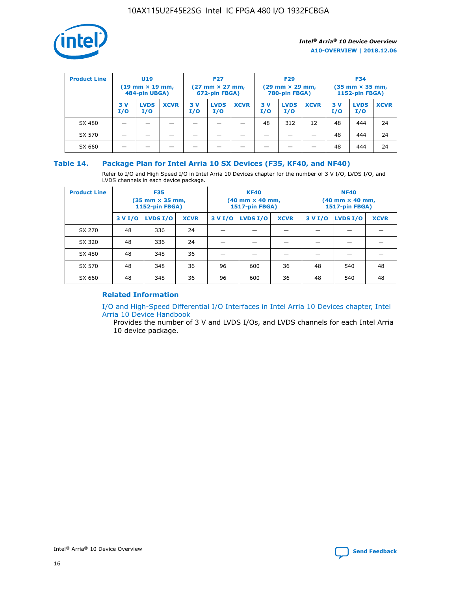

| <b>Product Line</b> | U <sub>19</sub><br>$(19 \text{ mm} \times 19 \text{ mm})$<br>484-pin UBGA) |                    | <b>F27</b><br>$(27 \text{ mm} \times 27 \text{ mm})$<br>672-pin FBGA) |           | <b>F29</b><br>$(29 \text{ mm} \times 29 \text{ mm})$<br>780-pin FBGA) |             |           | <b>F34</b><br>$(35 \text{ mm} \times 35 \text{ mm})$<br><b>1152-pin FBGA)</b> |             |           |                    |             |
|---------------------|----------------------------------------------------------------------------|--------------------|-----------------------------------------------------------------------|-----------|-----------------------------------------------------------------------|-------------|-----------|-------------------------------------------------------------------------------|-------------|-----------|--------------------|-------------|
|                     | 3 V<br>I/O                                                                 | <b>LVDS</b><br>I/O | <b>XCVR</b>                                                           | 3V<br>I/O | <b>LVDS</b><br>I/O                                                    | <b>XCVR</b> | 3V<br>I/O | <b>LVDS</b><br>I/O                                                            | <b>XCVR</b> | 3V<br>I/O | <b>LVDS</b><br>I/O | <b>XCVR</b> |
| SX 480              |                                                                            |                    |                                                                       |           |                                                                       |             | 48        | 312                                                                           | 12          | 48        | 444                | 24          |
| SX 570              |                                                                            |                    |                                                                       |           |                                                                       |             |           |                                                                               |             | 48        | 444                | 24          |
| SX 660              |                                                                            |                    |                                                                       |           |                                                                       |             |           |                                                                               |             | 48        | 444                | 24          |

## **Table 14. Package Plan for Intel Arria 10 SX Devices (F35, KF40, and NF40)**

Refer to I/O and High Speed I/O in Intel Arria 10 Devices chapter for the number of 3 V I/O, LVDS I/O, and LVDS channels in each device package.

| <b>Product Line</b> | <b>F35</b><br>$(35 \text{ mm} \times 35 \text{ mm})$<br><b>1152-pin FBGA)</b> |          |             |                                           | <b>KF40</b><br>(40 mm × 40 mm,<br>1517-pin FBGA) |    | <b>NF40</b><br>$(40 \text{ mm} \times 40 \text{ mm})$<br>1517-pin FBGA) |          |             |  |
|---------------------|-------------------------------------------------------------------------------|----------|-------------|-------------------------------------------|--------------------------------------------------|----|-------------------------------------------------------------------------|----------|-------------|--|
|                     | 3 V I/O                                                                       | LVDS I/O | <b>XCVR</b> | <b>LVDS I/O</b><br><b>XCVR</b><br>3 V I/O |                                                  |    | 3 V I/O                                                                 | LVDS I/O | <b>XCVR</b> |  |
| SX 270              | 48                                                                            | 336      | 24          |                                           |                                                  |    |                                                                         |          |             |  |
| SX 320              | 48                                                                            | 336      | 24          |                                           |                                                  |    |                                                                         |          |             |  |
| SX 480              | 48                                                                            | 348      | 36          |                                           |                                                  |    |                                                                         |          |             |  |
| SX 570              | 48                                                                            | 348      | 36          | 96                                        | 600                                              | 36 | 48                                                                      | 540      | 48          |  |
| SX 660              | 48                                                                            | 348      | 36          | 96                                        | 600                                              | 36 | 48                                                                      | 540      | 48          |  |

## **Related Information**

[I/O and High-Speed Differential I/O Interfaces in Intel Arria 10 Devices chapter, Intel](https://www.intel.com/content/www/us/en/programmable/documentation/sam1403482614086.html#sam1403482030321) [Arria 10 Device Handbook](https://www.intel.com/content/www/us/en/programmable/documentation/sam1403482614086.html#sam1403482030321)

Provides the number of 3 V and LVDS I/Os, and LVDS channels for each Intel Arria 10 device package.

Intel<sup>®</sup> Arria<sup>®</sup> 10 Device Overview **[Send Feedback](mailto:FPGAtechdocfeedback@intel.com?subject=Feedback%20on%20Intel%20Arria%2010%20Device%20Overview%20(A10-OVERVIEW%202018.12.06)&body=We%20appreciate%20your%20feedback.%20In%20your%20comments,%20also%20specify%20the%20page%20number%20or%20paragraph.%20Thank%20you.)** Send Feedback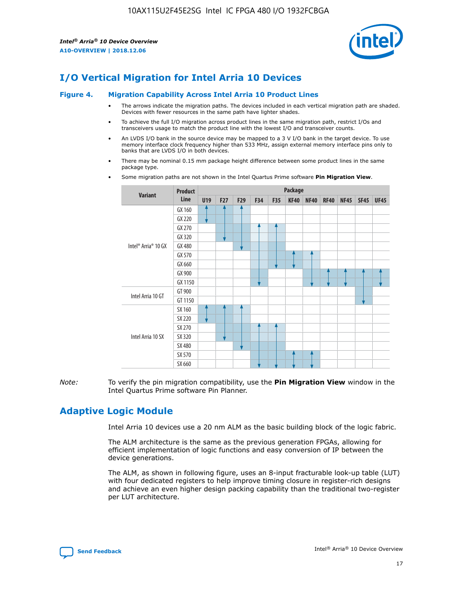

# **I/O Vertical Migration for Intel Arria 10 Devices**

#### **Figure 4. Migration Capability Across Intel Arria 10 Product Lines**

- The arrows indicate the migration paths. The devices included in each vertical migration path are shaded. Devices with fewer resources in the same path have lighter shades.
- To achieve the full I/O migration across product lines in the same migration path, restrict I/Os and transceivers usage to match the product line with the lowest I/O and transceiver counts.
- An LVDS I/O bank in the source device may be mapped to a 3 V I/O bank in the target device. To use memory interface clock frequency higher than 533 MHz, assign external memory interface pins only to banks that are LVDS I/O in both devices.
- There may be nominal 0.15 mm package height difference between some product lines in the same package type.
	- **Variant Product Line Package U19 F27 F29 F34 F35 KF40 NF40 RF40 NF45 SF45 UF45** Intel® Arria® 10 GX GX 160 GX 220 GX 270 GX 320 GX 480 GX 570 GX 660 GX 900 GX 1150 Intel Arria 10 GT GT 900 GT 1150 Intel Arria 10 SX SX 160 SX 220 SX 270 SX 320 SX 480 SX 570 SX 660
- Some migration paths are not shown in the Intel Quartus Prime software **Pin Migration View**.

*Note:* To verify the pin migration compatibility, use the **Pin Migration View** window in the Intel Quartus Prime software Pin Planner.

# **Adaptive Logic Module**

Intel Arria 10 devices use a 20 nm ALM as the basic building block of the logic fabric.

The ALM architecture is the same as the previous generation FPGAs, allowing for efficient implementation of logic functions and easy conversion of IP between the device generations.

The ALM, as shown in following figure, uses an 8-input fracturable look-up table (LUT) with four dedicated registers to help improve timing closure in register-rich designs and achieve an even higher design packing capability than the traditional two-register per LUT architecture.

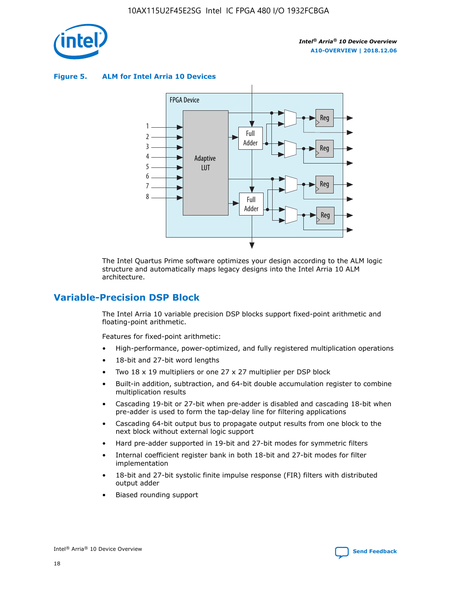

**Figure 5. ALM for Intel Arria 10 Devices**



The Intel Quartus Prime software optimizes your design according to the ALM logic structure and automatically maps legacy designs into the Intel Arria 10 ALM architecture.

## **Variable-Precision DSP Block**

The Intel Arria 10 variable precision DSP blocks support fixed-point arithmetic and floating-point arithmetic.

Features for fixed-point arithmetic:

- High-performance, power-optimized, and fully registered multiplication operations
- 18-bit and 27-bit word lengths
- Two 18 x 19 multipliers or one 27 x 27 multiplier per DSP block
- Built-in addition, subtraction, and 64-bit double accumulation register to combine multiplication results
- Cascading 19-bit or 27-bit when pre-adder is disabled and cascading 18-bit when pre-adder is used to form the tap-delay line for filtering applications
- Cascading 64-bit output bus to propagate output results from one block to the next block without external logic support
- Hard pre-adder supported in 19-bit and 27-bit modes for symmetric filters
- Internal coefficient register bank in both 18-bit and 27-bit modes for filter implementation
- 18-bit and 27-bit systolic finite impulse response (FIR) filters with distributed output adder
- Biased rounding support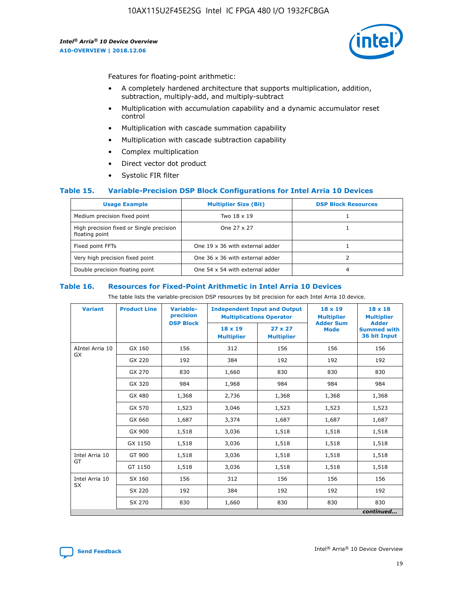

Features for floating-point arithmetic:

- A completely hardened architecture that supports multiplication, addition, subtraction, multiply-add, and multiply-subtract
- Multiplication with accumulation capability and a dynamic accumulator reset control
- Multiplication with cascade summation capability
- Multiplication with cascade subtraction capability
- Complex multiplication
- Direct vector dot product
- Systolic FIR filter

## **Table 15. Variable-Precision DSP Block Configurations for Intel Arria 10 Devices**

| <b>Usage Example</b>                                       | <b>Multiplier Size (Bit)</b>    | <b>DSP Block Resources</b> |
|------------------------------------------------------------|---------------------------------|----------------------------|
| Medium precision fixed point                               | Two 18 x 19                     |                            |
| High precision fixed or Single precision<br>floating point | One 27 x 27                     |                            |
| Fixed point FFTs                                           | One 19 x 36 with external adder |                            |
| Very high precision fixed point                            | One 36 x 36 with external adder |                            |
| Double precision floating point                            | One 54 x 54 with external adder | 4                          |

#### **Table 16. Resources for Fixed-Point Arithmetic in Intel Arria 10 Devices**

The table lists the variable-precision DSP resources by bit precision for each Intel Arria 10 device.

| <b>Variant</b>  | <b>Product Line</b> | <b>Variable-</b><br>precision<br><b>DSP Block</b> | <b>Independent Input and Output</b><br><b>Multiplications Operator</b> |                                     | 18 x 19<br><b>Multiplier</b><br><b>Adder Sum</b> | $18 \times 18$<br><b>Multiplier</b><br><b>Adder</b> |
|-----------------|---------------------|---------------------------------------------------|------------------------------------------------------------------------|-------------------------------------|--------------------------------------------------|-----------------------------------------------------|
|                 |                     |                                                   | 18 x 19<br><b>Multiplier</b>                                           | $27 \times 27$<br><b>Multiplier</b> | <b>Mode</b>                                      | <b>Summed with</b><br>36 bit Input                  |
| AIntel Arria 10 | GX 160              | 156                                               | 312                                                                    | 156                                 | 156                                              | 156                                                 |
| GX              | GX 220              | 192                                               | 384                                                                    | 192                                 | 192                                              | 192                                                 |
|                 | GX 270              | 830                                               | 1,660                                                                  | 830                                 | 830                                              | 830                                                 |
|                 | GX 320              | 984                                               | 1,968                                                                  | 984                                 | 984                                              | 984                                                 |
|                 | GX 480              | 1,368                                             | 2,736                                                                  | 1,368                               | 1,368                                            | 1,368                                               |
|                 | GX 570              | 1,523                                             | 3,046                                                                  | 1,523                               | 1,523                                            | 1,523                                               |
|                 | GX 660              | 1,687                                             | 3,374                                                                  | 1,687                               | 1,687                                            | 1,687                                               |
|                 | GX 900              | 1,518                                             | 3,036                                                                  | 1,518                               | 1,518                                            | 1,518                                               |
|                 | GX 1150             | 1,518                                             | 3,036                                                                  | 1,518                               | 1,518                                            | 1,518                                               |
| Intel Arria 10  | GT 900              | 1,518                                             | 3,036                                                                  | 1,518                               | 1,518                                            | 1,518                                               |
| GT              | GT 1150             | 1,518                                             | 3,036                                                                  | 1,518                               | 1,518                                            | 1,518                                               |
| Intel Arria 10  | SX 160              | 156                                               | 312                                                                    | 156                                 | 156                                              | 156                                                 |
| <b>SX</b>       | SX 220              | 192                                               | 384                                                                    | 192                                 | 192                                              | 192                                                 |
|                 | SX 270              | 830                                               | 1,660                                                                  | 830                                 | 830                                              | 830                                                 |
|                 |                     |                                                   |                                                                        |                                     |                                                  | continued                                           |

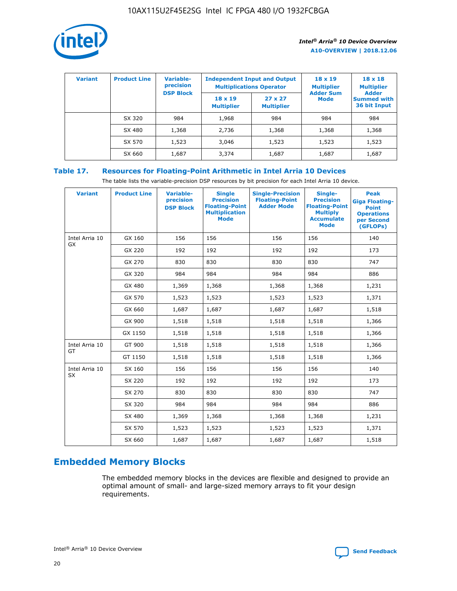

| <b>Variant</b> | <b>Product Line</b> | Variable-<br>precision | <b>Independent Input and Output</b><br><b>Multiplications Operator</b> |                                     | $18 \times 19$<br><b>Multiplier</b> | $18 \times 18$<br><b>Multiplier</b><br><b>Adder</b> |  |
|----------------|---------------------|------------------------|------------------------------------------------------------------------|-------------------------------------|-------------------------------------|-----------------------------------------------------|--|
|                |                     | <b>DSP Block</b>       | $18 \times 19$<br><b>Multiplier</b>                                    | $27 \times 27$<br><b>Multiplier</b> | <b>Adder Sum</b><br><b>Mode</b>     | <b>Summed with</b><br>36 bit Input                  |  |
|                | SX 320              | 984                    | 1,968                                                                  | 984                                 | 984                                 | 984                                                 |  |
|                | SX 480              | 1,368                  | 2,736                                                                  | 1,368                               | 1,368                               | 1,368                                               |  |
|                | SX 570              | 1,523                  | 3,046                                                                  | 1,523                               | 1,523                               | 1,523                                               |  |
|                | SX 660              | 1,687                  | 3,374                                                                  | 1,687                               | 1,687                               | 1,687                                               |  |

## **Table 17. Resources for Floating-Point Arithmetic in Intel Arria 10 Devices**

The table lists the variable-precision DSP resources by bit precision for each Intel Arria 10 device.

| <b>Variant</b> | <b>Product Line</b> | <b>Variable-</b><br>precision<br><b>DSP Block</b> | <b>Single</b><br><b>Precision</b><br><b>Floating-Point</b><br><b>Multiplication</b><br><b>Mode</b> | <b>Single-Precision</b><br><b>Floating-Point</b><br><b>Adder Mode</b> | Single-<br><b>Precision</b><br><b>Floating-Point</b><br><b>Multiply</b><br><b>Accumulate</b><br><b>Mode</b> | <b>Peak</b><br><b>Giga Floating-</b><br><b>Point</b><br><b>Operations</b><br>per Second<br>(GFLOPs) |
|----------------|---------------------|---------------------------------------------------|----------------------------------------------------------------------------------------------------|-----------------------------------------------------------------------|-------------------------------------------------------------------------------------------------------------|-----------------------------------------------------------------------------------------------------|
| Intel Arria 10 | GX 160              | 156                                               | 156                                                                                                | 156                                                                   | 156                                                                                                         | 140                                                                                                 |
| <b>GX</b>      | GX 220              | 192                                               | 192                                                                                                | 192                                                                   | 192                                                                                                         | 173                                                                                                 |
|                | GX 270              | 830                                               | 830                                                                                                | 830                                                                   | 830                                                                                                         | 747                                                                                                 |
|                | GX 320              | 984                                               | 984                                                                                                | 984                                                                   | 984                                                                                                         | 886                                                                                                 |
|                | GX 480              | 1,369                                             | 1,368                                                                                              | 1,368                                                                 | 1,368                                                                                                       | 1,231                                                                                               |
|                | GX 570              | 1,523                                             | 1,523                                                                                              | 1,523                                                                 | 1,523                                                                                                       | 1,371                                                                                               |
|                | GX 660              | 1,687                                             | 1,687                                                                                              | 1,687                                                                 | 1,687                                                                                                       | 1,518                                                                                               |
|                | GX 900              | 1,518                                             | 1,518                                                                                              | 1,518                                                                 | 1,518                                                                                                       | 1,366                                                                                               |
|                | GX 1150             | 1,518                                             | 1,518                                                                                              | 1,518                                                                 | 1,518                                                                                                       | 1,366                                                                                               |
| Intel Arria 10 | GT 900              | 1,518                                             | 1,518                                                                                              | 1,518                                                                 | 1,518                                                                                                       | 1,366                                                                                               |
| GT             | GT 1150             | 1,518                                             | 1,518                                                                                              | 1,518                                                                 | 1,518                                                                                                       | 1,366                                                                                               |
| Intel Arria 10 | SX 160              | 156                                               | 156                                                                                                | 156                                                                   | 156                                                                                                         | 140                                                                                                 |
| SX             | SX 220              | 192                                               | 192                                                                                                | 192                                                                   | 192                                                                                                         | 173                                                                                                 |
|                | SX 270              | 830                                               | 830                                                                                                | 830                                                                   | 830                                                                                                         | 747                                                                                                 |
|                | SX 320              | 984                                               | 984                                                                                                | 984                                                                   | 984                                                                                                         | 886                                                                                                 |
|                | SX 480              | 1,369                                             | 1,368                                                                                              | 1,368                                                                 | 1,368                                                                                                       | 1,231                                                                                               |
|                | SX 570              | 1,523                                             | 1,523                                                                                              | 1,523                                                                 | 1,523                                                                                                       | 1,371                                                                                               |
|                | SX 660              | 1,687                                             | 1,687                                                                                              | 1,687                                                                 | 1,687                                                                                                       | 1,518                                                                                               |

# **Embedded Memory Blocks**

The embedded memory blocks in the devices are flexible and designed to provide an optimal amount of small- and large-sized memory arrays to fit your design requirements.

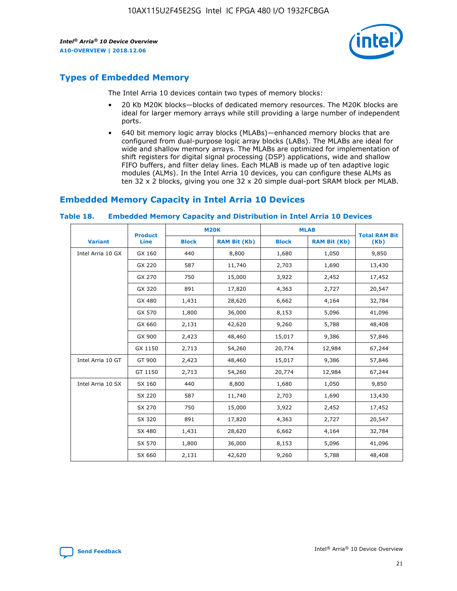

# **Types of Embedded Memory**

The Intel Arria 10 devices contain two types of memory blocks:

- 20 Kb M20K blocks—blocks of dedicated memory resources. The M20K blocks are ideal for larger memory arrays while still providing a large number of independent ports.
- 640 bit memory logic array blocks (MLABs)—enhanced memory blocks that are configured from dual-purpose logic array blocks (LABs). The MLABs are ideal for wide and shallow memory arrays. The MLABs are optimized for implementation of shift registers for digital signal processing (DSP) applications, wide and shallow FIFO buffers, and filter delay lines. Each MLAB is made up of ten adaptive logic modules (ALMs). In the Intel Arria 10 devices, you can configure these ALMs as ten 32 x 2 blocks, giving you one 32 x 20 simple dual-port SRAM block per MLAB.

# **Embedded Memory Capacity in Intel Arria 10 Devices**

|                   | <b>Product</b> | <b>M20K</b>  |                     | <b>MLAB</b>  |                     | <b>Total RAM Bit</b> |
|-------------------|----------------|--------------|---------------------|--------------|---------------------|----------------------|
| <b>Variant</b>    | <b>Line</b>    | <b>Block</b> | <b>RAM Bit (Kb)</b> | <b>Block</b> | <b>RAM Bit (Kb)</b> | (Kb)                 |
| Intel Arria 10 GX | GX 160         | 440          | 8,800               | 1,680        | 1,050               | 9,850                |
|                   | GX 220         | 587          | 11,740              | 2,703        | 1,690               | 13,430               |
|                   | GX 270         | 750          | 15,000              | 3,922        | 2,452               | 17,452               |
|                   | GX 320         | 891          | 17,820              | 4,363        | 2,727               | 20,547               |
|                   | GX 480         | 1,431        | 28,620              | 6,662        | 4,164               | 32,784               |
|                   | GX 570         | 1,800        | 36,000              | 8,153        | 5,096               | 41,096               |
|                   | GX 660         | 2,131        | 42,620              | 9,260        | 5,788               | 48,408               |
|                   | GX 900         | 2,423        | 48,460              | 15,017       | 9,386               | 57,846               |
|                   | GX 1150        | 2,713        | 54,260              | 20,774       | 12,984              | 67,244               |
| Intel Arria 10 GT | GT 900         | 2,423        | 48,460              | 15,017       | 9,386               | 57,846               |
|                   | GT 1150        | 2,713        | 54,260              | 20,774       | 12,984              | 67,244               |
| Intel Arria 10 SX | SX 160         | 440          | 8,800               | 1,680        | 1,050               | 9,850                |
|                   | SX 220         | 587          | 11,740              | 2,703        | 1,690               | 13,430               |
|                   | SX 270         | 750          | 15,000              | 3,922        | 2,452               | 17,452               |
|                   | SX 320         | 891          | 17,820              | 4,363        | 2,727               | 20,547               |
|                   | SX 480         | 1,431        | 28,620              | 6,662        | 4,164               | 32,784               |
|                   | SX 570         | 1,800        | 36,000              | 8,153        | 5,096               | 41,096               |
|                   | SX 660         | 2,131        | 42,620              | 9,260        | 5,788               | 48,408               |

#### **Table 18. Embedded Memory Capacity and Distribution in Intel Arria 10 Devices**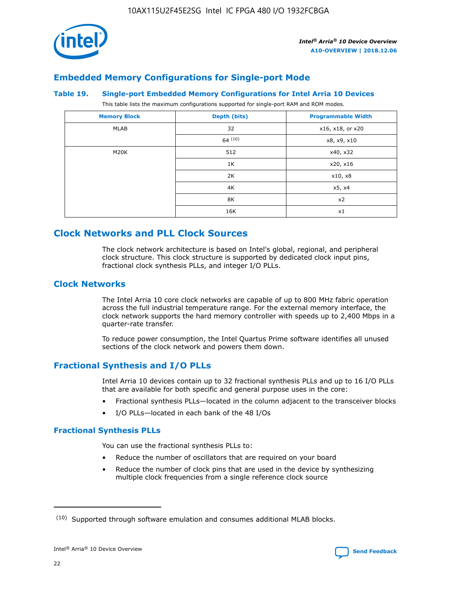

## **Embedded Memory Configurations for Single-port Mode**

#### **Table 19. Single-port Embedded Memory Configurations for Intel Arria 10 Devices**

This table lists the maximum configurations supported for single-port RAM and ROM modes.

| <b>Memory Block</b> | Depth (bits) | <b>Programmable Width</b> |
|---------------------|--------------|---------------------------|
| MLAB                | 32           | x16, x18, or x20          |
|                     | 64(10)       | x8, x9, x10               |
| M20K                | 512          | x40, x32                  |
|                     | 1K           | x20, x16                  |
|                     | 2K           | x10, x8                   |
|                     | 4K           | x5, x4                    |
|                     | 8K           | x2                        |
|                     | 16K          | x1                        |

## **Clock Networks and PLL Clock Sources**

The clock network architecture is based on Intel's global, regional, and peripheral clock structure. This clock structure is supported by dedicated clock input pins, fractional clock synthesis PLLs, and integer I/O PLLs.

## **Clock Networks**

The Intel Arria 10 core clock networks are capable of up to 800 MHz fabric operation across the full industrial temperature range. For the external memory interface, the clock network supports the hard memory controller with speeds up to 2,400 Mbps in a quarter-rate transfer.

To reduce power consumption, the Intel Quartus Prime software identifies all unused sections of the clock network and powers them down.

## **Fractional Synthesis and I/O PLLs**

Intel Arria 10 devices contain up to 32 fractional synthesis PLLs and up to 16 I/O PLLs that are available for both specific and general purpose uses in the core:

- Fractional synthesis PLLs—located in the column adjacent to the transceiver blocks
- I/O PLLs—located in each bank of the 48 I/Os

## **Fractional Synthesis PLLs**

You can use the fractional synthesis PLLs to:

- Reduce the number of oscillators that are required on your board
- Reduce the number of clock pins that are used in the device by synthesizing multiple clock frequencies from a single reference clock source

<sup>(10)</sup> Supported through software emulation and consumes additional MLAB blocks.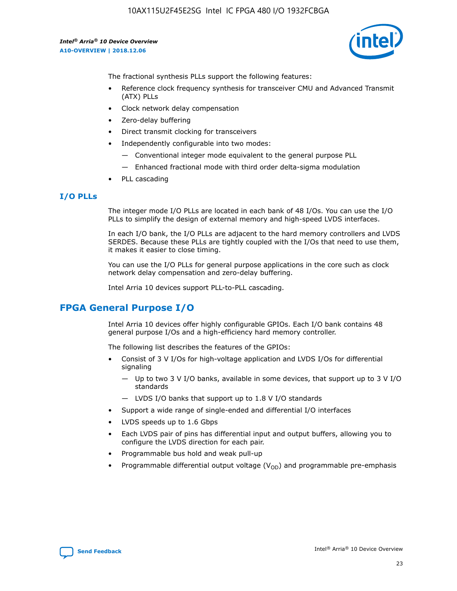10AX115U2F45E2SG Intel IC FPGA 480 I/O 1932FCBGA

*Intel® Arria® 10 Device Overview* **A10-OVERVIEW | 2018.12.06**



The fractional synthesis PLLs support the following features:

- Reference clock frequency synthesis for transceiver CMU and Advanced Transmit (ATX) PLLs
- Clock network delay compensation
- Zero-delay buffering
- Direct transmit clocking for transceivers
- Independently configurable into two modes:
	- Conventional integer mode equivalent to the general purpose PLL
	- Enhanced fractional mode with third order delta-sigma modulation
- PLL cascading

## **I/O PLLs**

The integer mode I/O PLLs are located in each bank of 48 I/Os. You can use the I/O PLLs to simplify the design of external memory and high-speed LVDS interfaces.

In each I/O bank, the I/O PLLs are adjacent to the hard memory controllers and LVDS SERDES. Because these PLLs are tightly coupled with the I/Os that need to use them, it makes it easier to close timing.

You can use the I/O PLLs for general purpose applications in the core such as clock network delay compensation and zero-delay buffering.

Intel Arria 10 devices support PLL-to-PLL cascading.

## **FPGA General Purpose I/O**

Intel Arria 10 devices offer highly configurable GPIOs. Each I/O bank contains 48 general purpose I/Os and a high-efficiency hard memory controller.

The following list describes the features of the GPIOs:

- Consist of 3 V I/Os for high-voltage application and LVDS I/Os for differential signaling
	- Up to two 3 V I/O banks, available in some devices, that support up to 3 V I/O standards
	- LVDS I/O banks that support up to 1.8 V I/O standards
- Support a wide range of single-ended and differential I/O interfaces
- LVDS speeds up to 1.6 Gbps
- Each LVDS pair of pins has differential input and output buffers, allowing you to configure the LVDS direction for each pair.
- Programmable bus hold and weak pull-up
- Programmable differential output voltage  $(V_{OD})$  and programmable pre-emphasis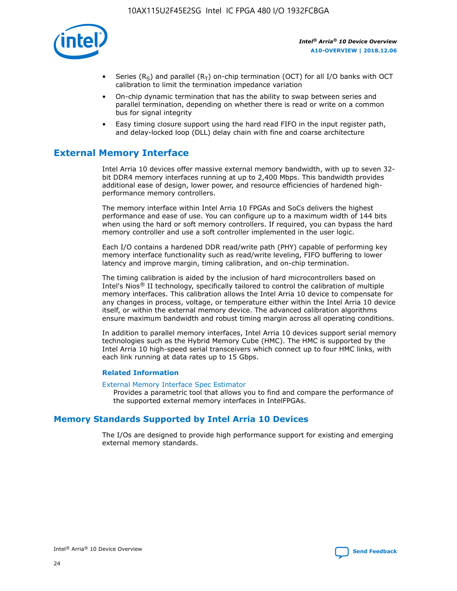

- Series (R<sub>S</sub>) and parallel (R<sub>T</sub>) on-chip termination (OCT) for all I/O banks with OCT calibration to limit the termination impedance variation
- On-chip dynamic termination that has the ability to swap between series and parallel termination, depending on whether there is read or write on a common bus for signal integrity
- Easy timing closure support using the hard read FIFO in the input register path, and delay-locked loop (DLL) delay chain with fine and coarse architecture

# **External Memory Interface**

Intel Arria 10 devices offer massive external memory bandwidth, with up to seven 32 bit DDR4 memory interfaces running at up to 2,400 Mbps. This bandwidth provides additional ease of design, lower power, and resource efficiencies of hardened highperformance memory controllers.

The memory interface within Intel Arria 10 FPGAs and SoCs delivers the highest performance and ease of use. You can configure up to a maximum width of 144 bits when using the hard or soft memory controllers. If required, you can bypass the hard memory controller and use a soft controller implemented in the user logic.

Each I/O contains a hardened DDR read/write path (PHY) capable of performing key memory interface functionality such as read/write leveling, FIFO buffering to lower latency and improve margin, timing calibration, and on-chip termination.

The timing calibration is aided by the inclusion of hard microcontrollers based on Intel's Nios® II technology, specifically tailored to control the calibration of multiple memory interfaces. This calibration allows the Intel Arria 10 device to compensate for any changes in process, voltage, or temperature either within the Intel Arria 10 device itself, or within the external memory device. The advanced calibration algorithms ensure maximum bandwidth and robust timing margin across all operating conditions.

In addition to parallel memory interfaces, Intel Arria 10 devices support serial memory technologies such as the Hybrid Memory Cube (HMC). The HMC is supported by the Intel Arria 10 high-speed serial transceivers which connect up to four HMC links, with each link running at data rates up to 15 Gbps.

## **Related Information**

#### [External Memory Interface Spec Estimator](http://www.altera.com/technology/memory/estimator/mem-emif-index.html)

Provides a parametric tool that allows you to find and compare the performance of the supported external memory interfaces in IntelFPGAs.

## **Memory Standards Supported by Intel Arria 10 Devices**

The I/Os are designed to provide high performance support for existing and emerging external memory standards.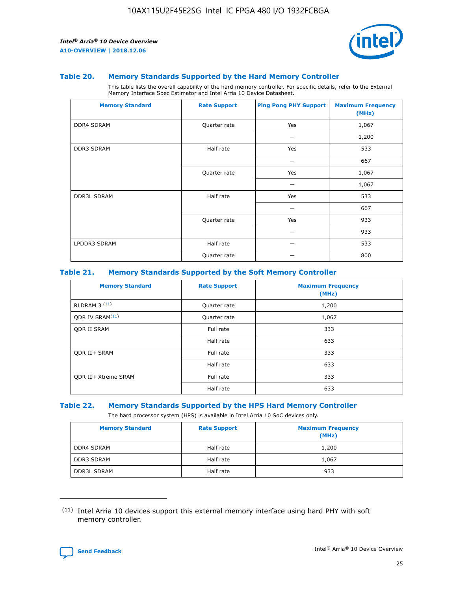

#### **Table 20. Memory Standards Supported by the Hard Memory Controller**

This table lists the overall capability of the hard memory controller. For specific details, refer to the External Memory Interface Spec Estimator and Intel Arria 10 Device Datasheet.

| <b>Memory Standard</b> | <b>Rate Support</b> | <b>Ping Pong PHY Support</b> | <b>Maximum Frequency</b><br>(MHz) |
|------------------------|---------------------|------------------------------|-----------------------------------|
| <b>DDR4 SDRAM</b>      | Quarter rate        | Yes                          | 1,067                             |
|                        |                     |                              | 1,200                             |
| DDR3 SDRAM             | Half rate           | Yes                          | 533                               |
|                        |                     |                              | 667                               |
|                        | Quarter rate        | Yes                          | 1,067                             |
|                        |                     |                              | 1,067                             |
| <b>DDR3L SDRAM</b>     | Half rate           | Yes                          | 533                               |
|                        |                     |                              | 667                               |
|                        | Quarter rate        | Yes                          | 933                               |
|                        |                     |                              | 933                               |
| LPDDR3 SDRAM           | Half rate           |                              | 533                               |
|                        | Quarter rate        |                              | 800                               |

#### **Table 21. Memory Standards Supported by the Soft Memory Controller**

| <b>Memory Standard</b>      | <b>Rate Support</b> | <b>Maximum Frequency</b><br>(MHz) |
|-----------------------------|---------------------|-----------------------------------|
| <b>RLDRAM 3 (11)</b>        | Quarter rate        | 1,200                             |
| ODR IV SRAM <sup>(11)</sup> | Quarter rate        | 1,067                             |
| <b>ODR II SRAM</b>          | Full rate           | 333                               |
|                             | Half rate           | 633                               |
| <b>ODR II+ SRAM</b>         | Full rate           | 333                               |
|                             | Half rate           | 633                               |
| <b>ODR II+ Xtreme SRAM</b>  | Full rate           | 333                               |
|                             | Half rate           | 633                               |

#### **Table 22. Memory Standards Supported by the HPS Hard Memory Controller**

The hard processor system (HPS) is available in Intel Arria 10 SoC devices only.

| <b>Memory Standard</b> | <b>Rate Support</b> | <b>Maximum Frequency</b><br>(MHz) |
|------------------------|---------------------|-----------------------------------|
| <b>DDR4 SDRAM</b>      | Half rate           | 1,200                             |
| <b>DDR3 SDRAM</b>      | Half rate           | 1,067                             |
| <b>DDR3L SDRAM</b>     | Half rate           | 933                               |

<sup>(11)</sup> Intel Arria 10 devices support this external memory interface using hard PHY with soft memory controller.

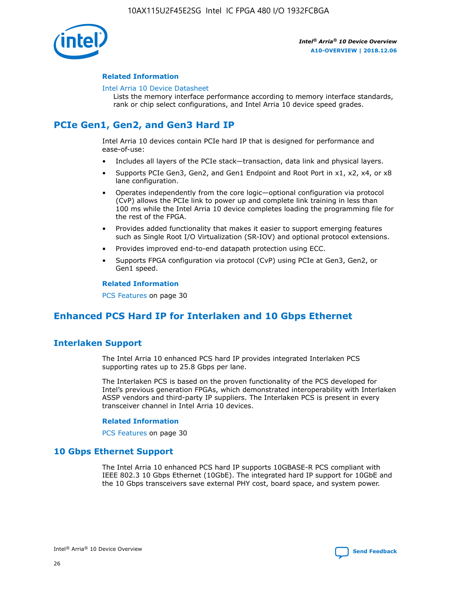

## **Related Information**

#### [Intel Arria 10 Device Datasheet](https://www.intel.com/content/www/us/en/programmable/documentation/mcn1413182292568.html#mcn1413182153340)

Lists the memory interface performance according to memory interface standards, rank or chip select configurations, and Intel Arria 10 device speed grades.

# **PCIe Gen1, Gen2, and Gen3 Hard IP**

Intel Arria 10 devices contain PCIe hard IP that is designed for performance and ease-of-use:

- Includes all layers of the PCIe stack—transaction, data link and physical layers.
- Supports PCIe Gen3, Gen2, and Gen1 Endpoint and Root Port in x1, x2, x4, or x8 lane configuration.
- Operates independently from the core logic—optional configuration via protocol (CvP) allows the PCIe link to power up and complete link training in less than 100 ms while the Intel Arria 10 device completes loading the programming file for the rest of the FPGA.
- Provides added functionality that makes it easier to support emerging features such as Single Root I/O Virtualization (SR-IOV) and optional protocol extensions.
- Provides improved end-to-end datapath protection using ECC.
- Supports FPGA configuration via protocol (CvP) using PCIe at Gen3, Gen2, or Gen1 speed.

#### **Related Information**

PCS Features on page 30

# **Enhanced PCS Hard IP for Interlaken and 10 Gbps Ethernet**

## **Interlaken Support**

The Intel Arria 10 enhanced PCS hard IP provides integrated Interlaken PCS supporting rates up to 25.8 Gbps per lane.

The Interlaken PCS is based on the proven functionality of the PCS developed for Intel's previous generation FPGAs, which demonstrated interoperability with Interlaken ASSP vendors and third-party IP suppliers. The Interlaken PCS is present in every transceiver channel in Intel Arria 10 devices.

## **Related Information**

PCS Features on page 30

## **10 Gbps Ethernet Support**

The Intel Arria 10 enhanced PCS hard IP supports 10GBASE-R PCS compliant with IEEE 802.3 10 Gbps Ethernet (10GbE). The integrated hard IP support for 10GbE and the 10 Gbps transceivers save external PHY cost, board space, and system power.

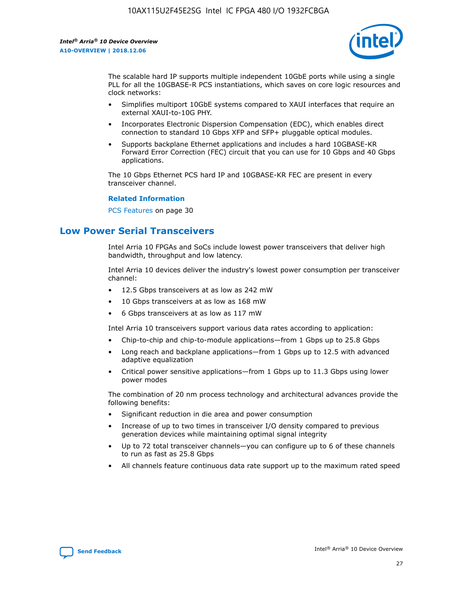

The scalable hard IP supports multiple independent 10GbE ports while using a single PLL for all the 10GBASE-R PCS instantiations, which saves on core logic resources and clock networks:

- Simplifies multiport 10GbE systems compared to XAUI interfaces that require an external XAUI-to-10G PHY.
- Incorporates Electronic Dispersion Compensation (EDC), which enables direct connection to standard 10 Gbps XFP and SFP+ pluggable optical modules.
- Supports backplane Ethernet applications and includes a hard 10GBASE-KR Forward Error Correction (FEC) circuit that you can use for 10 Gbps and 40 Gbps applications.

The 10 Gbps Ethernet PCS hard IP and 10GBASE-KR FEC are present in every transceiver channel.

#### **Related Information**

PCS Features on page 30

# **Low Power Serial Transceivers**

Intel Arria 10 FPGAs and SoCs include lowest power transceivers that deliver high bandwidth, throughput and low latency.

Intel Arria 10 devices deliver the industry's lowest power consumption per transceiver channel:

- 12.5 Gbps transceivers at as low as 242 mW
- 10 Gbps transceivers at as low as 168 mW
- 6 Gbps transceivers at as low as 117 mW

Intel Arria 10 transceivers support various data rates according to application:

- Chip-to-chip and chip-to-module applications—from 1 Gbps up to 25.8 Gbps
- Long reach and backplane applications—from 1 Gbps up to 12.5 with advanced adaptive equalization
- Critical power sensitive applications—from 1 Gbps up to 11.3 Gbps using lower power modes

The combination of 20 nm process technology and architectural advances provide the following benefits:

- Significant reduction in die area and power consumption
- Increase of up to two times in transceiver I/O density compared to previous generation devices while maintaining optimal signal integrity
- Up to 72 total transceiver channels—you can configure up to 6 of these channels to run as fast as 25.8 Gbps
- All channels feature continuous data rate support up to the maximum rated speed

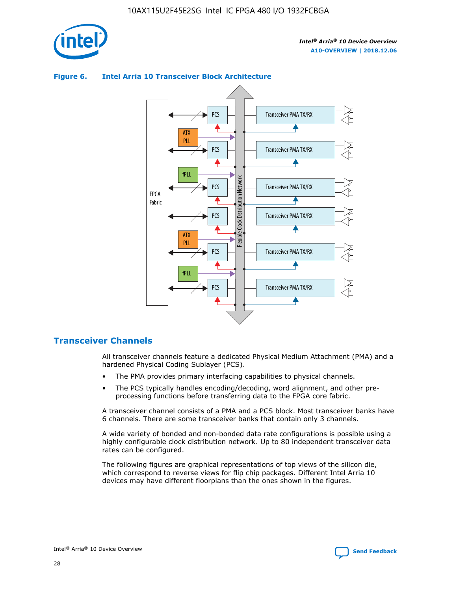

## Transceiver PMA TX/RX PCS ATX PLL Transceiver PMA TX/RX PCS fPLL Network Flexible Clock Distribution Network PCS Transceiver PMA TX/RX FPGA **Clock Distribution** Fabric PCS Transceiver PMA TX/RX ATX Flexible PLL PCS Transceiver PMA TX/RX ▲ fPLL Transceiver PMA TX/RX PCS 4

## **Figure 6. Intel Arria 10 Transceiver Block Architecture**

## **Transceiver Channels**

All transceiver channels feature a dedicated Physical Medium Attachment (PMA) and a hardened Physical Coding Sublayer (PCS).

- The PMA provides primary interfacing capabilities to physical channels.
- The PCS typically handles encoding/decoding, word alignment, and other preprocessing functions before transferring data to the FPGA core fabric.

A transceiver channel consists of a PMA and a PCS block. Most transceiver banks have 6 channels. There are some transceiver banks that contain only 3 channels.

A wide variety of bonded and non-bonded data rate configurations is possible using a highly configurable clock distribution network. Up to 80 independent transceiver data rates can be configured.

The following figures are graphical representations of top views of the silicon die, which correspond to reverse views for flip chip packages. Different Intel Arria 10 devices may have different floorplans than the ones shown in the figures.

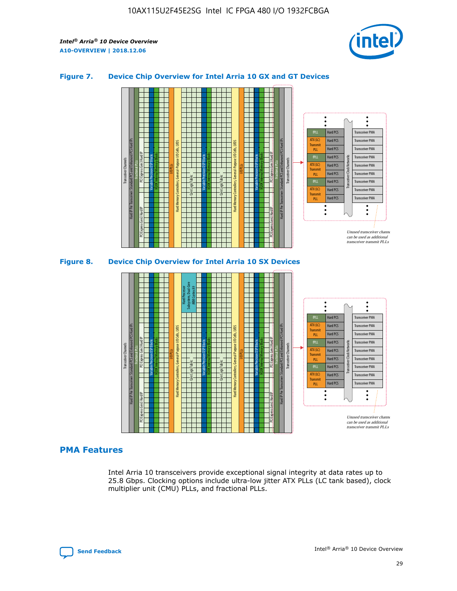

## **Figure 7. Device Chip Overview for Intel Arria 10 GX and GT Devices**



M20K Internal Memory Blocks Core Logic Fabric Transceiver Channels Hard IP Per Transceiver: Standard PCS and Enhanced PCS Hard IPs PCI Express Gen3 Hard IP Fractional PLLs M20K Internal Memory Blocks PCI Express Gen3 Hard IP Variable Precision DSP Blocks I/O PLLs Hard Memory Controllers, General-Purpose I/O Cells, LVDS Hard Processor Subsystem, Dual-Core ARM Cortex A9 M20K Internal Memory Blocks Variable Precision DSP Blocks M20K Internal Memory Blocks Core Logic Fabric I/O PLLs Hard Memory Controllers, General-Purpose I/O Cells, LVDS M20K Internal Memory Blocks Variable Precision DSP Blocks M20K Internal Memory Blocks Transceiver Channels Hard IP Per Transceiver: Standard PCS and Enhanced PCS Hard IPs PCI Express Gen3 Hard IP Fractional PLLs PCI Express Gen3 Hard IP Hard PCS Hard PCS Hard PCS Hard PCS Hard PCS Hard PCS Hard PCS Hard PCS Transceiver PMA Transceiver PMA Transceiver PMA Transceiver PMA Transceiver PMA Transceiver PMA Unused transceiver chann can be used as additional transceiver transmit PLLs Transceiver PMA Transceiver PMA Transceiver Clock Networks ATX (LC) **Transmit** PLL fPLL ATX (LC) Transmi PLL fPLL ATX (LC) **Transmit** PLL

## **PMA Features**

Intel Arria 10 transceivers provide exceptional signal integrity at data rates up to 25.8 Gbps. Clocking options include ultra-low jitter ATX PLLs (LC tank based), clock multiplier unit (CMU) PLLs, and fractional PLLs.

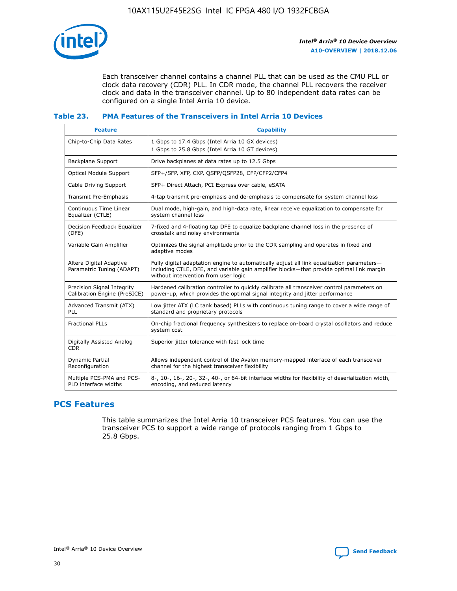

Each transceiver channel contains a channel PLL that can be used as the CMU PLL or clock data recovery (CDR) PLL. In CDR mode, the channel PLL recovers the receiver clock and data in the transceiver channel. Up to 80 independent data rates can be configured on a single Intel Arria 10 device.

## **Table 23. PMA Features of the Transceivers in Intel Arria 10 Devices**

| <b>Feature</b>                                             | <b>Capability</b>                                                                                                                                                                                                             |
|------------------------------------------------------------|-------------------------------------------------------------------------------------------------------------------------------------------------------------------------------------------------------------------------------|
| Chip-to-Chip Data Rates                                    | 1 Gbps to 17.4 Gbps (Intel Arria 10 GX devices)<br>1 Gbps to 25.8 Gbps (Intel Arria 10 GT devices)                                                                                                                            |
| <b>Backplane Support</b>                                   | Drive backplanes at data rates up to 12.5 Gbps                                                                                                                                                                                |
| <b>Optical Module Support</b>                              | SFP+/SFP, XFP, CXP, QSFP/QSFP28, CFP/CFP2/CFP4                                                                                                                                                                                |
| Cable Driving Support                                      | SFP+ Direct Attach, PCI Express over cable, eSATA                                                                                                                                                                             |
| Transmit Pre-Emphasis                                      | 4-tap transmit pre-emphasis and de-emphasis to compensate for system channel loss                                                                                                                                             |
| Continuous Time Linear<br>Equalizer (CTLE)                 | Dual mode, high-gain, and high-data rate, linear receive equalization to compensate for<br>system channel loss                                                                                                                |
| Decision Feedback Equalizer<br>(DFE)                       | 7-fixed and 4-floating tap DFE to equalize backplane channel loss in the presence of<br>crosstalk and noisy environments                                                                                                      |
| Variable Gain Amplifier                                    | Optimizes the signal amplitude prior to the CDR sampling and operates in fixed and<br>adaptive modes                                                                                                                          |
| Altera Digital Adaptive<br>Parametric Tuning (ADAPT)       | Fully digital adaptation engine to automatically adjust all link equalization parameters-<br>including CTLE, DFE, and variable gain amplifier blocks—that provide optimal link margin<br>without intervention from user logic |
| Precision Signal Integrity<br>Calibration Engine (PreSICE) | Hardened calibration controller to quickly calibrate all transceiver control parameters on<br>power-up, which provides the optimal signal integrity and jitter performance                                                    |
| Advanced Transmit (ATX)<br><b>PLL</b>                      | Low jitter ATX (LC tank based) PLLs with continuous tuning range to cover a wide range of<br>standard and proprietary protocols                                                                                               |
| <b>Fractional PLLs</b>                                     | On-chip fractional frequency synthesizers to replace on-board crystal oscillators and reduce<br>system cost                                                                                                                   |
| Digitally Assisted Analog<br><b>CDR</b>                    | Superior jitter tolerance with fast lock time                                                                                                                                                                                 |
| Dynamic Partial<br>Reconfiguration                         | Allows independent control of the Avalon memory-mapped interface of each transceiver<br>channel for the highest transceiver flexibility                                                                                       |
| Multiple PCS-PMA and PCS-<br>PLD interface widths          | 8-, 10-, 16-, 20-, 32-, 40-, or 64-bit interface widths for flexibility of deserialization width,<br>encoding, and reduced latency                                                                                            |

## **PCS Features**

This table summarizes the Intel Arria 10 transceiver PCS features. You can use the transceiver PCS to support a wide range of protocols ranging from 1 Gbps to 25.8 Gbps.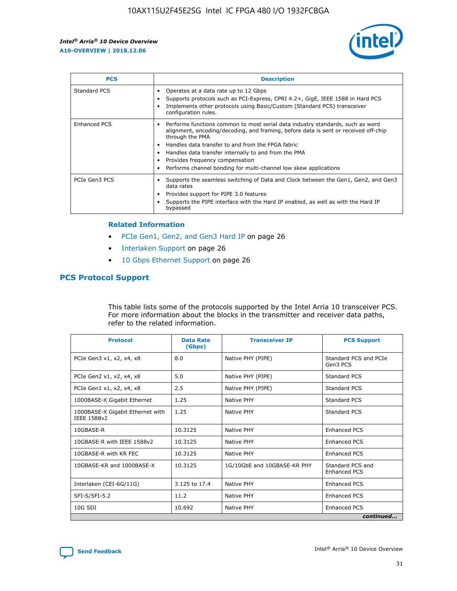

| <b>PCS</b>    | <b>Description</b>                                                                                                                                                                                                                                                                                                                                                                                             |
|---------------|----------------------------------------------------------------------------------------------------------------------------------------------------------------------------------------------------------------------------------------------------------------------------------------------------------------------------------------------------------------------------------------------------------------|
| Standard PCS  | Operates at a data rate up to 12 Gbps<br>Supports protocols such as PCI-Express, CPRI 4.2+, GigE, IEEE 1588 in Hard PCS<br>Implements other protocols using Basic/Custom (Standard PCS) transceiver<br>configuration rules.                                                                                                                                                                                    |
| Enhanced PCS  | Performs functions common to most serial data industry standards, such as word<br>alignment, encoding/decoding, and framing, before data is sent or received off-chip<br>through the PMA<br>• Handles data transfer to and from the FPGA fabric<br>Handles data transfer internally to and from the PMA<br>Provides frequency compensation<br>Performs channel bonding for multi-channel low skew applications |
| PCIe Gen3 PCS | Supports the seamless switching of Data and Clock between the Gen1, Gen2, and Gen3<br>data rates<br>Provides support for PIPE 3.0 features<br>Supports the PIPE interface with the Hard IP enabled, as well as with the Hard IP<br>bypassed                                                                                                                                                                    |

#### **Related Information**

- PCIe Gen1, Gen2, and Gen3 Hard IP on page 26
- Interlaken Support on page 26
- 10 Gbps Ethernet Support on page 26

## **PCS Protocol Support**

This table lists some of the protocols supported by the Intel Arria 10 transceiver PCS. For more information about the blocks in the transmitter and receiver data paths, refer to the related information.

| <b>Protocol</b>                                 | <b>Data Rate</b><br>(Gbps) | <b>Transceiver IP</b>       | <b>PCS Support</b>                      |
|-------------------------------------------------|----------------------------|-----------------------------|-----------------------------------------|
| PCIe Gen3 x1, x2, x4, x8                        | 8.0                        | Native PHY (PIPE)           | Standard PCS and PCIe<br>Gen3 PCS       |
| PCIe Gen2 x1, x2, x4, x8                        | 5.0                        | Native PHY (PIPE)           | <b>Standard PCS</b>                     |
| PCIe Gen1 x1, x2, x4, x8                        | 2.5                        | Native PHY (PIPE)           | Standard PCS                            |
| 1000BASE-X Gigabit Ethernet                     | 1.25                       | Native PHY                  | <b>Standard PCS</b>                     |
| 1000BASE-X Gigabit Ethernet with<br>IEEE 1588v2 | 1.25                       | Native PHY                  | Standard PCS                            |
| 10GBASE-R                                       | 10.3125                    | Native PHY                  | <b>Enhanced PCS</b>                     |
| 10GBASE-R with IEEE 1588v2                      | 10.3125                    | Native PHY                  | <b>Enhanced PCS</b>                     |
| 10GBASE-R with KR FEC                           | 10.3125                    | Native PHY                  | <b>Enhanced PCS</b>                     |
| 10GBASE-KR and 1000BASE-X                       | 10.3125                    | 1G/10GbE and 10GBASE-KR PHY | Standard PCS and<br><b>Enhanced PCS</b> |
| Interlaken (CEI-6G/11G)                         | 3.125 to 17.4              | Native PHY                  | <b>Enhanced PCS</b>                     |
| SFI-S/SFI-5.2                                   | 11.2                       | Native PHY                  | <b>Enhanced PCS</b>                     |
| $10G$ SDI                                       | 10.692                     | Native PHY                  | <b>Enhanced PCS</b>                     |
|                                                 |                            |                             | continued                               |

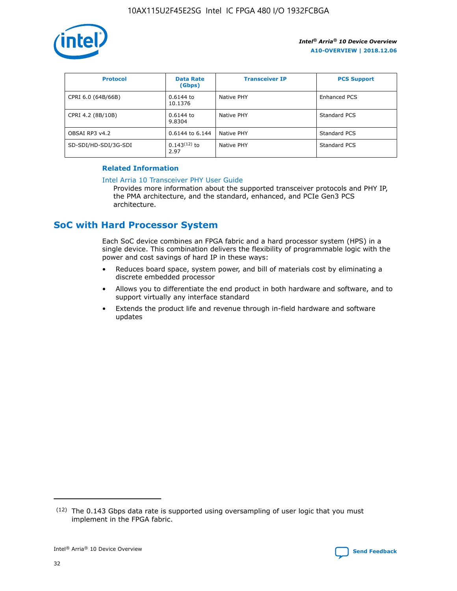

| <b>Protocol</b>      | <b>Data Rate</b><br>(Gbps) | <b>Transceiver IP</b> | <b>PCS Support</b> |
|----------------------|----------------------------|-----------------------|--------------------|
| CPRI 6.0 (64B/66B)   | 0.6144 to<br>10.1376       | Native PHY            | Enhanced PCS       |
| CPRI 4.2 (8B/10B)    | 0.6144 to<br>9.8304        | Native PHY            | Standard PCS       |
| OBSAI RP3 v4.2       | 0.6144 to 6.144            | Native PHY            | Standard PCS       |
| SD-SDI/HD-SDI/3G-SDI | $0.143(12)$ to<br>2.97     | Native PHY            | Standard PCS       |

## **Related Information**

#### [Intel Arria 10 Transceiver PHY User Guide](https://www.intel.com/content/www/us/en/programmable/documentation/nik1398707230472.html#nik1398707091164)

Provides more information about the supported transceiver protocols and PHY IP, the PMA architecture, and the standard, enhanced, and PCIe Gen3 PCS architecture.

# **SoC with Hard Processor System**

Each SoC device combines an FPGA fabric and a hard processor system (HPS) in a single device. This combination delivers the flexibility of programmable logic with the power and cost savings of hard IP in these ways:

- Reduces board space, system power, and bill of materials cost by eliminating a discrete embedded processor
- Allows you to differentiate the end product in both hardware and software, and to support virtually any interface standard
- Extends the product life and revenue through in-field hardware and software updates

 $(12)$  The 0.143 Gbps data rate is supported using oversampling of user logic that you must implement in the FPGA fabric.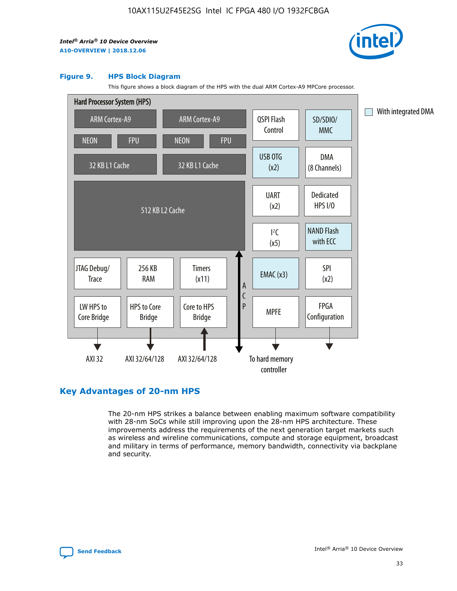

#### **Figure 9. HPS Block Diagram**

This figure shows a block diagram of the HPS with the dual ARM Cortex-A9 MPCore processor.



## **Key Advantages of 20-nm HPS**

The 20-nm HPS strikes a balance between enabling maximum software compatibility with 28-nm SoCs while still improving upon the 28-nm HPS architecture. These improvements address the requirements of the next generation target markets such as wireless and wireline communications, compute and storage equipment, broadcast and military in terms of performance, memory bandwidth, connectivity via backplane and security.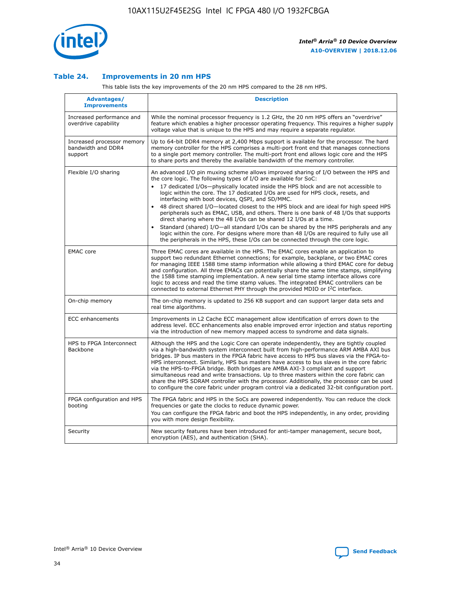

## **Table 24. Improvements in 20 nm HPS**

This table lists the key improvements of the 20 nm HPS compared to the 28 nm HPS.

| Advantages/<br><b>Improvements</b>                          | <b>Description</b>                                                                                                                                                                                                                                                                                                                                                                                                                                                                                                                                                                                                                                                                                                                                                                                                                                                                                                      |
|-------------------------------------------------------------|-------------------------------------------------------------------------------------------------------------------------------------------------------------------------------------------------------------------------------------------------------------------------------------------------------------------------------------------------------------------------------------------------------------------------------------------------------------------------------------------------------------------------------------------------------------------------------------------------------------------------------------------------------------------------------------------------------------------------------------------------------------------------------------------------------------------------------------------------------------------------------------------------------------------------|
| Increased performance and<br>overdrive capability           | While the nominal processor frequency is 1.2 GHz, the 20 nm HPS offers an "overdrive"<br>feature which enables a higher processor operating frequency. This requires a higher supply<br>voltage value that is unique to the HPS and may require a separate regulator.                                                                                                                                                                                                                                                                                                                                                                                                                                                                                                                                                                                                                                                   |
| Increased processor memory<br>bandwidth and DDR4<br>support | Up to 64-bit DDR4 memory at 2,400 Mbps support is available for the processor. The hard<br>memory controller for the HPS comprises a multi-port front end that manages connections<br>to a single port memory controller. The multi-port front end allows logic core and the HPS<br>to share ports and thereby the available bandwidth of the memory controller.                                                                                                                                                                                                                                                                                                                                                                                                                                                                                                                                                        |
| Flexible I/O sharing                                        | An advanced I/O pin muxing scheme allows improved sharing of I/O between the HPS and<br>the core logic. The following types of I/O are available for SoC:<br>17 dedicated I/Os-physically located inside the HPS block and are not accessible to<br>logic within the core. The 17 dedicated I/Os are used for HPS clock, resets, and<br>interfacing with boot devices, QSPI, and SD/MMC.<br>48 direct shared I/O-located closest to the HPS block and are ideal for high speed HPS<br>peripherals such as EMAC, USB, and others. There is one bank of 48 I/Os that supports<br>direct sharing where the 48 I/Os can be shared 12 I/Os at a time.<br>Standard (shared) I/O—all standard I/Os can be shared by the HPS peripherals and any<br>logic within the core. For designs where more than 48 I/Os are required to fully use all<br>the peripherals in the HPS, these I/Os can be connected through the core logic. |
| <b>EMAC</b> core                                            | Three EMAC cores are available in the HPS. The EMAC cores enable an application to<br>support two redundant Ethernet connections; for example, backplane, or two EMAC cores<br>for managing IEEE 1588 time stamp information while allowing a third EMAC core for debug<br>and configuration. All three EMACs can potentially share the same time stamps, simplifying<br>the 1588 time stamping implementation. A new serial time stamp interface allows core<br>logic to access and read the time stamp values. The integrated EMAC controllers can be<br>connected to external Ethernet PHY through the provided MDIO or I <sup>2</sup> C interface.                                                                                                                                                                                                                                                                  |
| On-chip memory                                              | The on-chip memory is updated to 256 KB support and can support larger data sets and<br>real time algorithms.                                                                                                                                                                                                                                                                                                                                                                                                                                                                                                                                                                                                                                                                                                                                                                                                           |
| <b>ECC</b> enhancements                                     | Improvements in L2 Cache ECC management allow identification of errors down to the<br>address level. ECC enhancements also enable improved error injection and status reporting<br>via the introduction of new memory mapped access to syndrome and data signals.                                                                                                                                                                                                                                                                                                                                                                                                                                                                                                                                                                                                                                                       |
| HPS to FPGA Interconnect<br>Backbone                        | Although the HPS and the Logic Core can operate independently, they are tightly coupled<br>via a high-bandwidth system interconnect built from high-performance ARM AMBA AXI bus<br>bridges. IP bus masters in the FPGA fabric have access to HPS bus slaves via the FPGA-to-<br>HPS interconnect. Similarly, HPS bus masters have access to bus slaves in the core fabric<br>via the HPS-to-FPGA bridge. Both bridges are AMBA AXI-3 compliant and support<br>simultaneous read and write transactions. Up to three masters within the core fabric can<br>share the HPS SDRAM controller with the processor. Additionally, the processor can be used<br>to configure the core fabric under program control via a dedicated 32-bit configuration port.                                                                                                                                                                  |
| FPGA configuration and HPS<br>booting                       | The FPGA fabric and HPS in the SoCs are powered independently. You can reduce the clock<br>frequencies or gate the clocks to reduce dynamic power.<br>You can configure the FPGA fabric and boot the HPS independently, in any order, providing<br>you with more design flexibility.                                                                                                                                                                                                                                                                                                                                                                                                                                                                                                                                                                                                                                    |
| Security                                                    | New security features have been introduced for anti-tamper management, secure boot,<br>encryption (AES), and authentication (SHA).                                                                                                                                                                                                                                                                                                                                                                                                                                                                                                                                                                                                                                                                                                                                                                                      |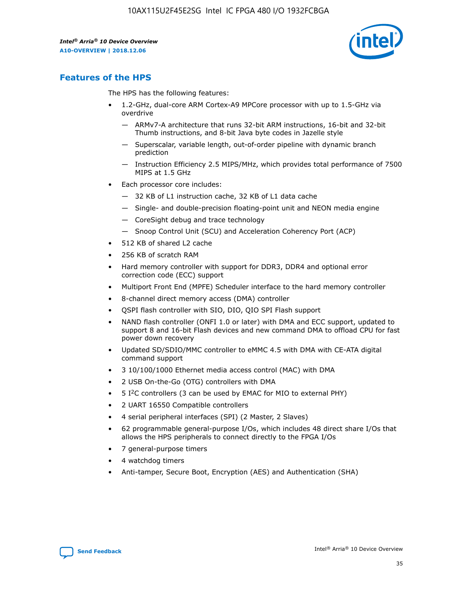

## **Features of the HPS**

The HPS has the following features:

- 1.2-GHz, dual-core ARM Cortex-A9 MPCore processor with up to 1.5-GHz via overdrive
	- ARMv7-A architecture that runs 32-bit ARM instructions, 16-bit and 32-bit Thumb instructions, and 8-bit Java byte codes in Jazelle style
	- Superscalar, variable length, out-of-order pipeline with dynamic branch prediction
	- Instruction Efficiency 2.5 MIPS/MHz, which provides total performance of 7500 MIPS at 1.5 GHz
- Each processor core includes:
	- 32 KB of L1 instruction cache, 32 KB of L1 data cache
	- Single- and double-precision floating-point unit and NEON media engine
	- CoreSight debug and trace technology
	- Snoop Control Unit (SCU) and Acceleration Coherency Port (ACP)
- 512 KB of shared L2 cache
- 256 KB of scratch RAM
- Hard memory controller with support for DDR3, DDR4 and optional error correction code (ECC) support
- Multiport Front End (MPFE) Scheduler interface to the hard memory controller
- 8-channel direct memory access (DMA) controller
- QSPI flash controller with SIO, DIO, QIO SPI Flash support
- NAND flash controller (ONFI 1.0 or later) with DMA and ECC support, updated to support 8 and 16-bit Flash devices and new command DMA to offload CPU for fast power down recovery
- Updated SD/SDIO/MMC controller to eMMC 4.5 with DMA with CE-ATA digital command support
- 3 10/100/1000 Ethernet media access control (MAC) with DMA
- 2 USB On-the-Go (OTG) controllers with DMA
- $\bullet$  5 I<sup>2</sup>C controllers (3 can be used by EMAC for MIO to external PHY)
- 2 UART 16550 Compatible controllers
- 4 serial peripheral interfaces (SPI) (2 Master, 2 Slaves)
- 62 programmable general-purpose I/Os, which includes 48 direct share I/Os that allows the HPS peripherals to connect directly to the FPGA I/Os
- 7 general-purpose timers
- 4 watchdog timers
- Anti-tamper, Secure Boot, Encryption (AES) and Authentication (SHA)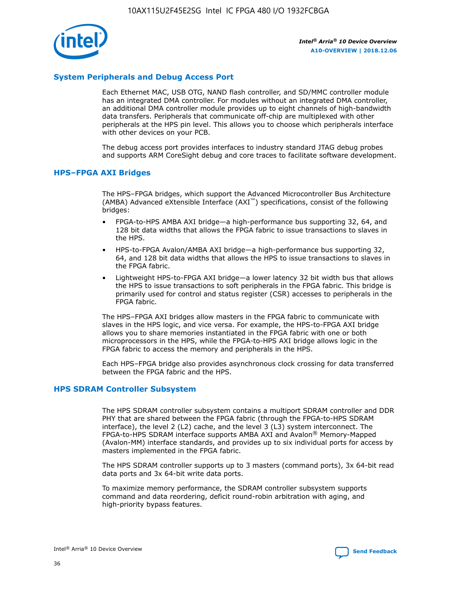

## **System Peripherals and Debug Access Port**

Each Ethernet MAC, USB OTG, NAND flash controller, and SD/MMC controller module has an integrated DMA controller. For modules without an integrated DMA controller, an additional DMA controller module provides up to eight channels of high-bandwidth data transfers. Peripherals that communicate off-chip are multiplexed with other peripherals at the HPS pin level. This allows you to choose which peripherals interface with other devices on your PCB.

The debug access port provides interfaces to industry standard JTAG debug probes and supports ARM CoreSight debug and core traces to facilitate software development.

#### **HPS–FPGA AXI Bridges**

The HPS–FPGA bridges, which support the Advanced Microcontroller Bus Architecture (AMBA) Advanced eXtensible Interface (AXI™) specifications, consist of the following bridges:

- FPGA-to-HPS AMBA AXI bridge—a high-performance bus supporting 32, 64, and 128 bit data widths that allows the FPGA fabric to issue transactions to slaves in the HPS.
- HPS-to-FPGA Avalon/AMBA AXI bridge—a high-performance bus supporting 32, 64, and 128 bit data widths that allows the HPS to issue transactions to slaves in the FPGA fabric.
- Lightweight HPS-to-FPGA AXI bridge—a lower latency 32 bit width bus that allows the HPS to issue transactions to soft peripherals in the FPGA fabric. This bridge is primarily used for control and status register (CSR) accesses to peripherals in the FPGA fabric.

The HPS–FPGA AXI bridges allow masters in the FPGA fabric to communicate with slaves in the HPS logic, and vice versa. For example, the HPS-to-FPGA AXI bridge allows you to share memories instantiated in the FPGA fabric with one or both microprocessors in the HPS, while the FPGA-to-HPS AXI bridge allows logic in the FPGA fabric to access the memory and peripherals in the HPS.

Each HPS–FPGA bridge also provides asynchronous clock crossing for data transferred between the FPGA fabric and the HPS.

#### **HPS SDRAM Controller Subsystem**

The HPS SDRAM controller subsystem contains a multiport SDRAM controller and DDR PHY that are shared between the FPGA fabric (through the FPGA-to-HPS SDRAM interface), the level 2 (L2) cache, and the level 3 (L3) system interconnect. The FPGA-to-HPS SDRAM interface supports AMBA AXI and Avalon® Memory-Mapped (Avalon-MM) interface standards, and provides up to six individual ports for access by masters implemented in the FPGA fabric.

The HPS SDRAM controller supports up to 3 masters (command ports), 3x 64-bit read data ports and 3x 64-bit write data ports.

To maximize memory performance, the SDRAM controller subsystem supports command and data reordering, deficit round-robin arbitration with aging, and high-priority bypass features.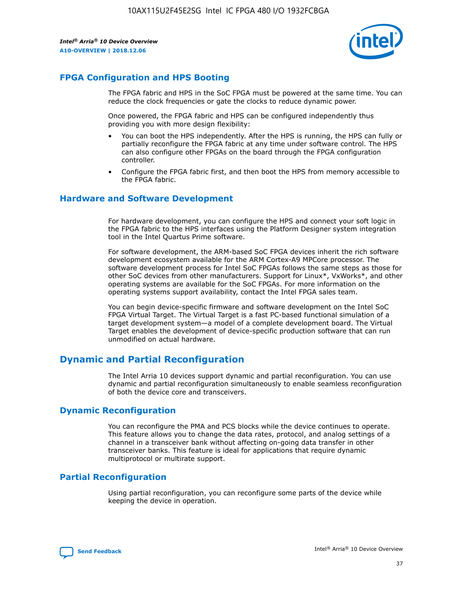

## **FPGA Configuration and HPS Booting**

The FPGA fabric and HPS in the SoC FPGA must be powered at the same time. You can reduce the clock frequencies or gate the clocks to reduce dynamic power.

Once powered, the FPGA fabric and HPS can be configured independently thus providing you with more design flexibility:

- You can boot the HPS independently. After the HPS is running, the HPS can fully or partially reconfigure the FPGA fabric at any time under software control. The HPS can also configure other FPGAs on the board through the FPGA configuration controller.
- Configure the FPGA fabric first, and then boot the HPS from memory accessible to the FPGA fabric.

## **Hardware and Software Development**

For hardware development, you can configure the HPS and connect your soft logic in the FPGA fabric to the HPS interfaces using the Platform Designer system integration tool in the Intel Quartus Prime software.

For software development, the ARM-based SoC FPGA devices inherit the rich software development ecosystem available for the ARM Cortex-A9 MPCore processor. The software development process for Intel SoC FPGAs follows the same steps as those for other SoC devices from other manufacturers. Support for Linux\*, VxWorks\*, and other operating systems are available for the SoC FPGAs. For more information on the operating systems support availability, contact the Intel FPGA sales team.

You can begin device-specific firmware and software development on the Intel SoC FPGA Virtual Target. The Virtual Target is a fast PC-based functional simulation of a target development system—a model of a complete development board. The Virtual Target enables the development of device-specific production software that can run unmodified on actual hardware.

## **Dynamic and Partial Reconfiguration**

The Intel Arria 10 devices support dynamic and partial reconfiguration. You can use dynamic and partial reconfiguration simultaneously to enable seamless reconfiguration of both the device core and transceivers.

## **Dynamic Reconfiguration**

You can reconfigure the PMA and PCS blocks while the device continues to operate. This feature allows you to change the data rates, protocol, and analog settings of a channel in a transceiver bank without affecting on-going data transfer in other transceiver banks. This feature is ideal for applications that require dynamic multiprotocol or multirate support.

## **Partial Reconfiguration**

Using partial reconfiguration, you can reconfigure some parts of the device while keeping the device in operation.

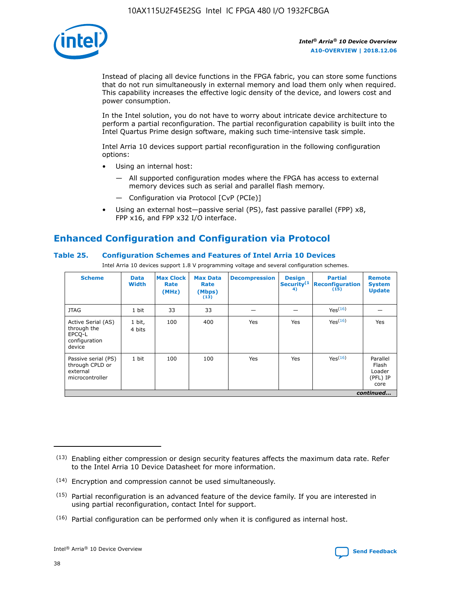

Instead of placing all device functions in the FPGA fabric, you can store some functions that do not run simultaneously in external memory and load them only when required. This capability increases the effective logic density of the device, and lowers cost and power consumption.

In the Intel solution, you do not have to worry about intricate device architecture to perform a partial reconfiguration. The partial reconfiguration capability is built into the Intel Quartus Prime design software, making such time-intensive task simple.

Intel Arria 10 devices support partial reconfiguration in the following configuration options:

- Using an internal host:
	- All supported configuration modes where the FPGA has access to external memory devices such as serial and parallel flash memory.
	- Configuration via Protocol [CvP (PCIe)]
- Using an external host—passive serial (PS), fast passive parallel (FPP) x8, FPP x16, and FPP x32 I/O interface.

# **Enhanced Configuration and Configuration via Protocol**

## **Table 25. Configuration Schemes and Features of Intel Arria 10 Devices**

Intel Arria 10 devices support 1.8 V programming voltage and several configuration schemes.

| <b>Scheme</b>                                                          | <b>Data</b><br><b>Width</b> | <b>Max Clock</b><br>Rate<br>(MHz) | <b>Max Data</b><br>Rate<br>(Mbps)<br>(13) | <b>Decompression</b> | <b>Design</b><br>Security <sup>(1</sup><br>4) | <b>Partial</b><br>Reconfiguration<br>(15) | <b>Remote</b><br><b>System</b><br><b>Update</b> |
|------------------------------------------------------------------------|-----------------------------|-----------------------------------|-------------------------------------------|----------------------|-----------------------------------------------|-------------------------------------------|-------------------------------------------------|
| <b>JTAG</b>                                                            | 1 bit                       | 33                                | 33                                        |                      |                                               | Yes <sup>(16)</sup>                       |                                                 |
| Active Serial (AS)<br>through the<br>EPCO-L<br>configuration<br>device | 1 bit,<br>4 bits            | 100                               | 400                                       | Yes                  | Yes                                           | Yes(16)                                   | Yes                                             |
| Passive serial (PS)<br>through CPLD or<br>external<br>microcontroller  | 1 bit                       | 100                               | 100                                       | Yes                  | Yes                                           | Yes(16)                                   | Parallel<br>Flash<br>Loader<br>(PFL) IP<br>core |
|                                                                        |                             |                                   |                                           |                      |                                               |                                           | continued                                       |

<sup>(13)</sup> Enabling either compression or design security features affects the maximum data rate. Refer to the Intel Arria 10 Device Datasheet for more information.

<sup>(14)</sup> Encryption and compression cannot be used simultaneously.

 $<sup>(15)</sup>$  Partial reconfiguration is an advanced feature of the device family. If you are interested in</sup> using partial reconfiguration, contact Intel for support.

 $(16)$  Partial configuration can be performed only when it is configured as internal host.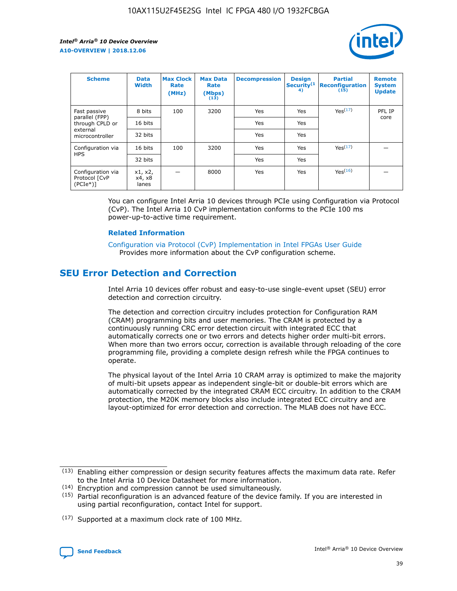

| <b>Scheme</b>                                    | <b>Data</b><br><b>Width</b> | <b>Max Clock</b><br>Rate<br>(MHz) | <b>Max Data</b><br>Rate<br>(Mbps)<br>(13) | <b>Decompression</b> | <b>Design</b><br>Security <sup>(1</sup><br>4) | <b>Partial</b><br><b>Reconfiguration</b><br>(15) | <b>Remote</b><br><b>System</b><br><b>Update</b> |
|--------------------------------------------------|-----------------------------|-----------------------------------|-------------------------------------------|----------------------|-----------------------------------------------|--------------------------------------------------|-------------------------------------------------|
| Fast passive                                     | 8 bits                      | 100                               | 3200                                      | Yes                  | Yes                                           | Yes(17)                                          | PFL IP                                          |
| parallel (FPP)<br>through CPLD or                | 16 bits                     |                                   |                                           | Yes                  | Yes                                           |                                                  | core                                            |
| external<br>microcontroller                      | 32 bits                     |                                   |                                           | Yes                  | Yes                                           |                                                  |                                                 |
| Configuration via                                | 16 bits                     | 100                               | 3200                                      | Yes                  | Yes                                           | Yes <sup>(17)</sup>                              |                                                 |
| <b>HPS</b>                                       | 32 bits                     |                                   |                                           | Yes                  | Yes                                           |                                                  |                                                 |
| Configuration via<br>Protocol [CvP<br>$(PCIe^*)$ | x1, x2,<br>x4, x8<br>lanes  |                                   | 8000                                      | Yes                  | Yes                                           | Yes(16)                                          |                                                 |

You can configure Intel Arria 10 devices through PCIe using Configuration via Protocol (CvP). The Intel Arria 10 CvP implementation conforms to the PCIe 100 ms power-up-to-active time requirement.

#### **Related Information**

[Configuration via Protocol \(CvP\) Implementation in Intel FPGAs User Guide](https://www.intel.com/content/www/us/en/programmable/documentation/dsu1441819344145.html#dsu1442269728522) Provides more information about the CvP configuration scheme.

# **SEU Error Detection and Correction**

Intel Arria 10 devices offer robust and easy-to-use single-event upset (SEU) error detection and correction circuitry.

The detection and correction circuitry includes protection for Configuration RAM (CRAM) programming bits and user memories. The CRAM is protected by a continuously running CRC error detection circuit with integrated ECC that automatically corrects one or two errors and detects higher order multi-bit errors. When more than two errors occur, correction is available through reloading of the core programming file, providing a complete design refresh while the FPGA continues to operate.

The physical layout of the Intel Arria 10 CRAM array is optimized to make the majority of multi-bit upsets appear as independent single-bit or double-bit errors which are automatically corrected by the integrated CRAM ECC circuitry. In addition to the CRAM protection, the M20K memory blocks also include integrated ECC circuitry and are layout-optimized for error detection and correction. The MLAB does not have ECC.

(14) Encryption and compression cannot be used simultaneously.

<sup>(17)</sup> Supported at a maximum clock rate of 100 MHz.



 $(13)$  Enabling either compression or design security features affects the maximum data rate. Refer to the Intel Arria 10 Device Datasheet for more information.

 $(15)$  Partial reconfiguration is an advanced feature of the device family. If you are interested in using partial reconfiguration, contact Intel for support.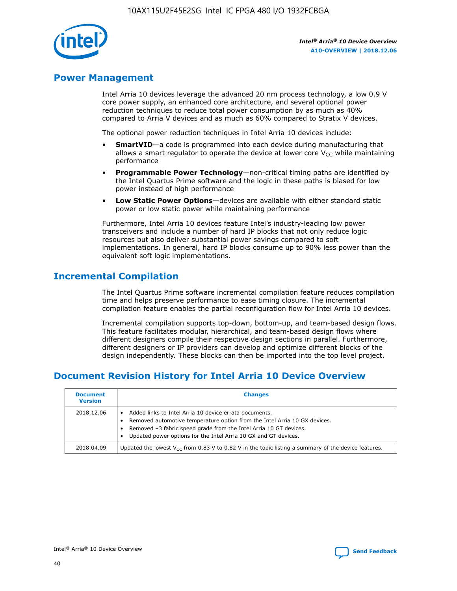

## **Power Management**

Intel Arria 10 devices leverage the advanced 20 nm process technology, a low 0.9 V core power supply, an enhanced core architecture, and several optional power reduction techniques to reduce total power consumption by as much as 40% compared to Arria V devices and as much as 60% compared to Stratix V devices.

The optional power reduction techniques in Intel Arria 10 devices include:

- **SmartVID**—a code is programmed into each device during manufacturing that allows a smart regulator to operate the device at lower core  $V_{CC}$  while maintaining performance
- **Programmable Power Technology**—non-critical timing paths are identified by the Intel Quartus Prime software and the logic in these paths is biased for low power instead of high performance
- **Low Static Power Options**—devices are available with either standard static power or low static power while maintaining performance

Furthermore, Intel Arria 10 devices feature Intel's industry-leading low power transceivers and include a number of hard IP blocks that not only reduce logic resources but also deliver substantial power savings compared to soft implementations. In general, hard IP blocks consume up to 90% less power than the equivalent soft logic implementations.

# **Incremental Compilation**

The Intel Quartus Prime software incremental compilation feature reduces compilation time and helps preserve performance to ease timing closure. The incremental compilation feature enables the partial reconfiguration flow for Intel Arria 10 devices.

Incremental compilation supports top-down, bottom-up, and team-based design flows. This feature facilitates modular, hierarchical, and team-based design flows where different designers compile their respective design sections in parallel. Furthermore, different designers or IP providers can develop and optimize different blocks of the design independently. These blocks can then be imported into the top level project.

# **Document Revision History for Intel Arria 10 Device Overview**

| <b>Document</b><br><b>Version</b> | <b>Changes</b>                                                                                                                                                                                                                                                              |
|-----------------------------------|-----------------------------------------------------------------------------------------------------------------------------------------------------------------------------------------------------------------------------------------------------------------------------|
| 2018.12.06                        | Added links to Intel Arria 10 device errata documents.<br>Removed automotive temperature option from the Intel Arria 10 GX devices.<br>Removed -3 fabric speed grade from the Intel Arria 10 GT devices.<br>Updated power options for the Intel Arria 10 GX and GT devices. |
| 2018.04.09                        | Updated the lowest $V_{CC}$ from 0.83 V to 0.82 V in the topic listing a summary of the device features.                                                                                                                                                                    |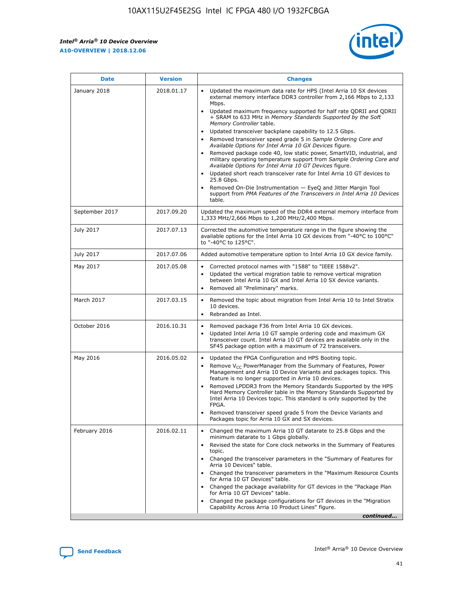$\mathsf{r}$ 



| <b>Date</b>    | <b>Version</b> | <b>Changes</b>                                                                                                                                                                                                                                                                                                                                                                                                                                                                                                                                                                                                                                                                                                                                                                                                                                                                                                                                                                                      |
|----------------|----------------|-----------------------------------------------------------------------------------------------------------------------------------------------------------------------------------------------------------------------------------------------------------------------------------------------------------------------------------------------------------------------------------------------------------------------------------------------------------------------------------------------------------------------------------------------------------------------------------------------------------------------------------------------------------------------------------------------------------------------------------------------------------------------------------------------------------------------------------------------------------------------------------------------------------------------------------------------------------------------------------------------------|
| January 2018   | 2018.01.17     | Updated the maximum data rate for HPS (Intel Arria 10 SX devices<br>external memory interface DDR3 controller from 2,166 Mbps to 2,133<br>Mbps.<br>Updated maximum frequency supported for half rate QDRII and QDRII<br>$\bullet$<br>+ SRAM to 633 MHz in Memory Standards Supported by the Soft<br>Memory Controller table.<br>Updated transceiver backplane capability to 12.5 Gbps.<br>$\bullet$<br>Removed transceiver speed grade 5 in Sample Ordering Core and<br>Available Options for Intel Arria 10 GX Devices figure.<br>Removed package code 40, low static power, SmartVID, industrial, and<br>military operating temperature support from Sample Ordering Core and<br>Available Options for Intel Arria 10 GT Devices figure.<br>Updated short reach transceiver rate for Intel Arria 10 GT devices to<br>$\bullet$<br>25.8 Gbps.<br>Removed On-Die Instrumentation - EyeQ and Jitter Margin Tool<br>support from PMA Features of the Transceivers in Intel Arria 10 Devices<br>table. |
| September 2017 | 2017.09.20     | Updated the maximum speed of the DDR4 external memory interface from<br>1,333 MHz/2,666 Mbps to 1,200 MHz/2,400 Mbps.                                                                                                                                                                                                                                                                                                                                                                                                                                                                                                                                                                                                                                                                                                                                                                                                                                                                               |
| July 2017      | 2017.07.13     | Corrected the automotive temperature range in the figure showing the<br>available options for the Intel Arria 10 GX devices from "-40°C to 100°C"<br>to "-40°C to 125°C".                                                                                                                                                                                                                                                                                                                                                                                                                                                                                                                                                                                                                                                                                                                                                                                                                           |
| July 2017      | 2017.07.06     | Added automotive temperature option to Intel Arria 10 GX device family.                                                                                                                                                                                                                                                                                                                                                                                                                                                                                                                                                                                                                                                                                                                                                                                                                                                                                                                             |
| May 2017       | 2017.05.08     | Corrected protocol names with "1588" to "IEEE 1588v2".<br>$\bullet$<br>Updated the vertical migration table to remove vertical migration<br>$\bullet$<br>between Intel Arria 10 GX and Intel Arria 10 SX device variants.<br>Removed all "Preliminary" marks.<br>$\bullet$                                                                                                                                                                                                                                                                                                                                                                                                                                                                                                                                                                                                                                                                                                                          |
| March 2017     | 2017.03.15     | Removed the topic about migration from Intel Arria 10 to Intel Stratix<br>$\bullet$<br>10 devices.<br>Rebranded as Intel.<br>$\bullet$                                                                                                                                                                                                                                                                                                                                                                                                                                                                                                                                                                                                                                                                                                                                                                                                                                                              |
| October 2016   | 2016.10.31     | Removed package F36 from Intel Arria 10 GX devices.<br>Updated Intel Arria 10 GT sample ordering code and maximum GX<br>transceiver count. Intel Arria 10 GT devices are available only in the<br>SF45 package option with a maximum of 72 transceivers.                                                                                                                                                                                                                                                                                                                                                                                                                                                                                                                                                                                                                                                                                                                                            |
| May 2016       | 2016.05.02     | Updated the FPGA Configuration and HPS Booting topic.<br>$\bullet$<br>Remove V <sub>CC</sub> PowerManager from the Summary of Features, Power<br>$\bullet$<br>Management and Arria 10 Device Variants and packages topics. This<br>feature is no longer supported in Arria 10 devices.<br>Removed LPDDR3 from the Memory Standards Supported by the HPS<br>Hard Memory Controller table in the Memory Standards Supported by<br>Intel Arria 10 Devices topic. This standard is only supported by the<br>FPGA.<br>Removed transceiver speed grade 5 from the Device Variants and<br>Packages topic for Arria 10 GX and SX devices.                                                                                                                                                                                                                                                                                                                                                                   |
| February 2016  | 2016.02.11     | Changed the maximum Arria 10 GT datarate to 25.8 Gbps and the<br>$\bullet$<br>minimum datarate to 1 Gbps globally.<br>Revised the state for Core clock networks in the Summary of Features<br>$\bullet$<br>topic.<br>• Changed the transceiver parameters in the "Summary of Features for<br>Arria 10 Devices" table.<br>• Changed the transceiver parameters in the "Maximum Resource Counts"<br>for Arria 10 GT Devices" table.<br>• Changed the package availability for GT devices in the "Package Plan<br>for Arria 10 GT Devices" table.<br>Changed the package configurations for GT devices in the "Migration"<br>Capability Across Arria 10 Product Lines" figure.<br>continued                                                                                                                                                                                                                                                                                                            |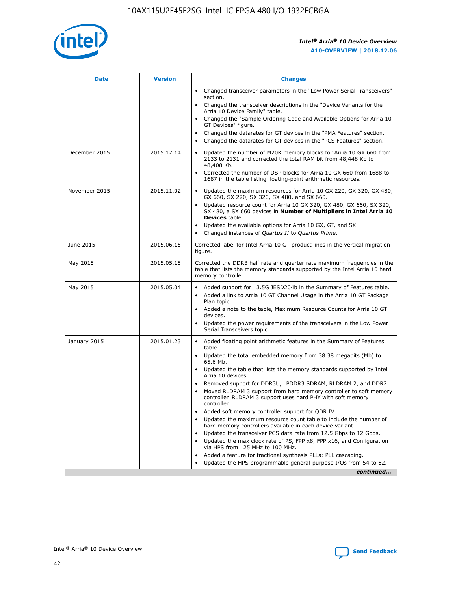

| <b>Date</b>   | <b>Version</b> | <b>Changes</b>                                                                                                                                                               |
|---------------|----------------|------------------------------------------------------------------------------------------------------------------------------------------------------------------------------|
|               |                | Changed transceiver parameters in the "Low Power Serial Transceivers"<br>section.                                                                                            |
|               |                | • Changed the transceiver descriptions in the "Device Variants for the<br>Arria 10 Device Family" table.                                                                     |
|               |                | Changed the "Sample Ordering Code and Available Options for Arria 10<br>GT Devices" figure.                                                                                  |
|               |                | Changed the datarates for GT devices in the "PMA Features" section.                                                                                                          |
|               |                | Changed the datarates for GT devices in the "PCS Features" section.<br>$\bullet$                                                                                             |
| December 2015 | 2015.12.14     | Updated the number of M20K memory blocks for Arria 10 GX 660 from<br>2133 to 2131 and corrected the total RAM bit from 48,448 Kb to<br>48,408 Kb.                            |
|               |                | Corrected the number of DSP blocks for Arria 10 GX 660 from 1688 to<br>$\bullet$<br>1687 in the table listing floating-point arithmetic resources.                           |
| November 2015 | 2015.11.02     | Updated the maximum resources for Arria 10 GX 220, GX 320, GX 480,<br>GX 660, SX 220, SX 320, SX 480, and SX 660.                                                            |
|               |                | Updated resource count for Arria 10 GX 320, GX 480, GX 660, SX 320,<br>SX 480, a SX 660 devices in Number of Multipliers in Intel Arria 10<br><b>Devices</b> table.          |
|               |                | Updated the available options for Arria 10 GX, GT, and SX.<br>$\bullet$                                                                                                      |
|               |                | Changed instances of Quartus II to Quartus Prime.<br>$\bullet$                                                                                                               |
| June 2015     | 2015.06.15     | Corrected label for Intel Arria 10 GT product lines in the vertical migration<br>figure.                                                                                     |
| May 2015      | 2015.05.15     | Corrected the DDR3 half rate and quarter rate maximum frequencies in the<br>table that lists the memory standards supported by the Intel Arria 10 hard<br>memory controller. |
| May 2015      | 2015.05.04     | Added support for 13.5G JESD204b in the Summary of Features table.<br>Added a link to Arria 10 GT Channel Usage in the Arria 10 GT Package                                   |
|               |                | Plan topic.                                                                                                                                                                  |
|               |                | • Added a note to the table, Maximum Resource Counts for Arria 10 GT<br>devices.                                                                                             |
|               |                | Updated the power requirements of the transceivers in the Low Power<br>Serial Transceivers topic.                                                                            |
| January 2015  | 2015.01.23     | • Added floating point arithmetic features in the Summary of Features<br>table.                                                                                              |
|               |                | Updated the total embedded memory from 38.38 megabits (Mb) to<br>$\bullet$<br>65.6 Mb.                                                                                       |
|               |                | • Updated the table that lists the memory standards supported by Intel<br>Arria 10 devices.                                                                                  |
|               |                | Removed support for DDR3U, LPDDR3 SDRAM, RLDRAM 2, and DDR2.                                                                                                                 |
|               |                | Moved RLDRAM 3 support from hard memory controller to soft memory<br>controller. RLDRAM 3 support uses hard PHY with soft memory<br>controller.                              |
|               |                | Added soft memory controller support for QDR IV.                                                                                                                             |
|               |                | Updated the maximum resource count table to include the number of<br>$\bullet$<br>hard memory controllers available in each device variant.                                  |
|               |                | Updated the transceiver PCS data rate from 12.5 Gbps to 12 Gbps.                                                                                                             |
|               |                | Updated the max clock rate of PS, FPP x8, FPP x16, and Configuration<br>via HPS from 125 MHz to 100 MHz.                                                                     |
|               |                | Added a feature for fractional synthesis PLLs: PLL cascading.                                                                                                                |
|               |                | Updated the HPS programmable general-purpose I/Os from 54 to 62.<br>$\bullet$                                                                                                |
|               |                | continued                                                                                                                                                                    |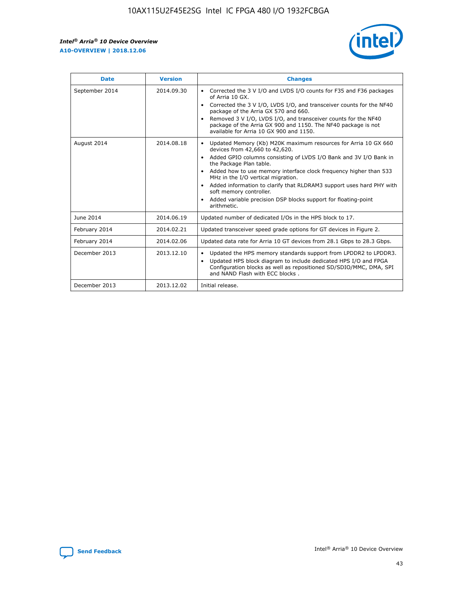r



| <b>Date</b>    | <b>Version</b> | <b>Changes</b>                                                                                                                                                                                                                                                                                                                                                                                                                                                                                                                                      |
|----------------|----------------|-----------------------------------------------------------------------------------------------------------------------------------------------------------------------------------------------------------------------------------------------------------------------------------------------------------------------------------------------------------------------------------------------------------------------------------------------------------------------------------------------------------------------------------------------------|
| September 2014 | 2014.09.30     | Corrected the 3 V I/O and LVDS I/O counts for F35 and F36 packages<br>$\bullet$<br>of Arria 10 GX.<br>Corrected the 3 V I/O, LVDS I/O, and transceiver counts for the NF40<br>$\bullet$<br>package of the Arria GX 570 and 660.<br>Removed 3 V I/O, LVDS I/O, and transceiver counts for the NF40<br>$\bullet$<br>package of the Arria GX 900 and 1150. The NF40 package is not<br>available for Arria 10 GX 900 and 1150.                                                                                                                          |
| August 2014    | 2014.08.18     | Updated Memory (Kb) M20K maximum resources for Arria 10 GX 660<br>devices from 42,660 to 42,620.<br>Added GPIO columns consisting of LVDS I/O Bank and 3V I/O Bank in<br>$\bullet$<br>the Package Plan table.<br>Added how to use memory interface clock frequency higher than 533<br>$\bullet$<br>MHz in the I/O vertical migration.<br>Added information to clarify that RLDRAM3 support uses hard PHY with<br>$\bullet$<br>soft memory controller.<br>Added variable precision DSP blocks support for floating-point<br>$\bullet$<br>arithmetic. |
| June 2014      | 2014.06.19     | Updated number of dedicated I/Os in the HPS block to 17.                                                                                                                                                                                                                                                                                                                                                                                                                                                                                            |
| February 2014  | 2014.02.21     | Updated transceiver speed grade options for GT devices in Figure 2.                                                                                                                                                                                                                                                                                                                                                                                                                                                                                 |
| February 2014  | 2014.02.06     | Updated data rate for Arria 10 GT devices from 28.1 Gbps to 28.3 Gbps.                                                                                                                                                                                                                                                                                                                                                                                                                                                                              |
| December 2013  | 2013.12.10     | Updated the HPS memory standards support from LPDDR2 to LPDDR3.<br>Updated HPS block diagram to include dedicated HPS I/O and FPGA<br>$\bullet$<br>Configuration blocks as well as repositioned SD/SDIO/MMC, DMA, SPI<br>and NAND Flash with ECC blocks.                                                                                                                                                                                                                                                                                            |
| December 2013  | 2013.12.02     | Initial release.                                                                                                                                                                                                                                                                                                                                                                                                                                                                                                                                    |